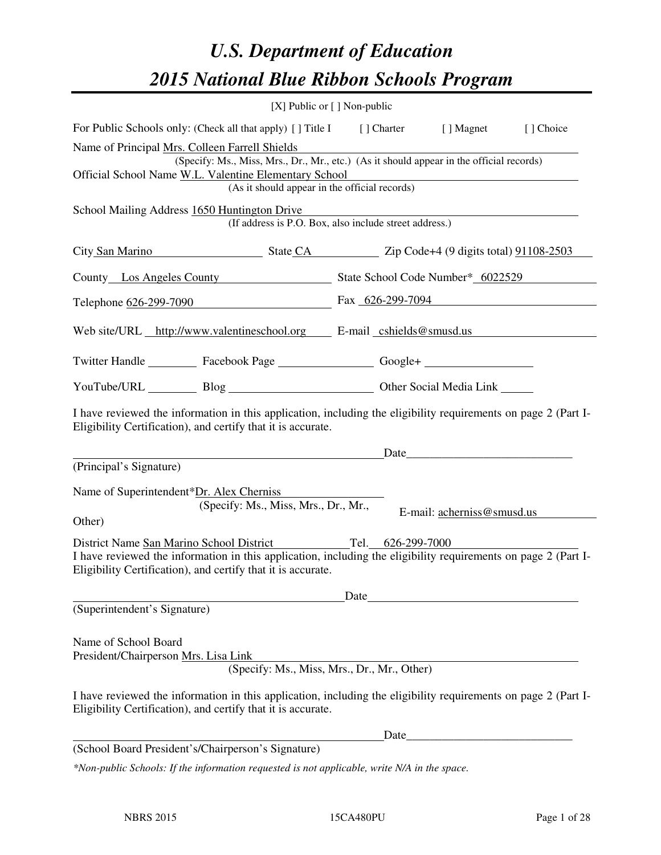# *U.S. Department of Education 2015 National Blue Ribbon Schools Program*

|                                                                                                                                                                                | [X] Public or [] Non-public                                                                                                                                                                                                         |      |       |                            |  |
|--------------------------------------------------------------------------------------------------------------------------------------------------------------------------------|-------------------------------------------------------------------------------------------------------------------------------------------------------------------------------------------------------------------------------------|------|-------|----------------------------|--|
| For Public Schools only: (Check all that apply) [] Title I [] Charter [] Magnet [] Choice                                                                                      |                                                                                                                                                                                                                                     |      |       |                            |  |
| Name of Principal Mrs. Colleen Farrell Shields<br>Official School Name W.L. Valentine Elementary School                                                                        | (Specify: Ms., Miss, Mrs., Dr., Mr., etc.) (As it should appear in the official records)<br>(As it should appear in the official records)                                                                                           |      |       |                            |  |
| School Mailing Address 1650 Huntington Drive                                                                                                                                   | (If address is P.O. Box, also include street address.)                                                                                                                                                                              |      |       |                            |  |
| City San Marino State CA Zip Code+4 (9 digits total) 91108-2503                                                                                                                |                                                                                                                                                                                                                                     |      |       |                            |  |
| County Los Angeles County State School Code Number* 6022529                                                                                                                    |                                                                                                                                                                                                                                     |      |       |                            |  |
| Telephone 626-299-7090 Fax 626-299-7094                                                                                                                                        |                                                                                                                                                                                                                                     |      |       |                            |  |
| Web site/URL http://www.valentineschool.org E-mail cshields@smusd.us                                                                                                           |                                                                                                                                                                                                                                     |      |       |                            |  |
| Twitter Handle ___________ Facebook Page ____________________ Google+ ___________                                                                                              |                                                                                                                                                                                                                                     |      |       |                            |  |
| YouTube/URL Blog Blog Cher Social Media Link                                                                                                                                   |                                                                                                                                                                                                                                     |      |       |                            |  |
| I have reviewed the information in this application, including the eligibility requirements on page 2 (Part I-<br>Eligibility Certification), and certify that it is accurate. |                                                                                                                                                                                                                                     |      |       |                            |  |
| (Principal's Signature)                                                                                                                                                        | <u>Date</u> and the Date of the Date of the Second Second Second Second Second Second Second Second Second Second Second Second Second Second Second Second Second Second Second Second Second Second Second Second Second Second S |      |       |                            |  |
| Name of Superintendent*Dr. Alex Cherniss<br>Other)                                                                                                                             | (Specify: Ms., Miss, Mrs., Dr., Mr.,                                                                                                                                                                                                |      |       | E-mail: acherniss@smusd.us |  |
| District Name San Marino School District Tel. 626-299-7000                                                                                                                     |                                                                                                                                                                                                                                     |      |       |                            |  |
| I have reviewed the information in this application, including the eligibility requirements on page 2 (Part I-<br>Eligibility Certification), and certify that it is accurate. |                                                                                                                                                                                                                                     |      |       |                            |  |
|                                                                                                                                                                                |                                                                                                                                                                                                                                     | Date |       |                            |  |
| (Superintendent's Signature)                                                                                                                                                   |                                                                                                                                                                                                                                     |      |       |                            |  |
| Name of School Board<br>President/Chairperson Mrs. Lisa Link                                                                                                                   | (Specify: Ms., Miss, Mrs., Dr., Mr., Other)                                                                                                                                                                                         |      |       |                            |  |
| I have reviewed the information in this application, including the eligibility requirements on page 2 (Part I-<br>Eligibility Certification), and certify that it is accurate. |                                                                                                                                                                                                                                     |      |       |                            |  |
|                                                                                                                                                                                |                                                                                                                                                                                                                                     |      | Date_ |                            |  |
| (School Board President's/Chairperson's Signature)                                                                                                                             |                                                                                                                                                                                                                                     |      |       |                            |  |
| *Non-public Schools: If the information requested is not applicable, write N/A in the space.                                                                                   |                                                                                                                                                                                                                                     |      |       |                            |  |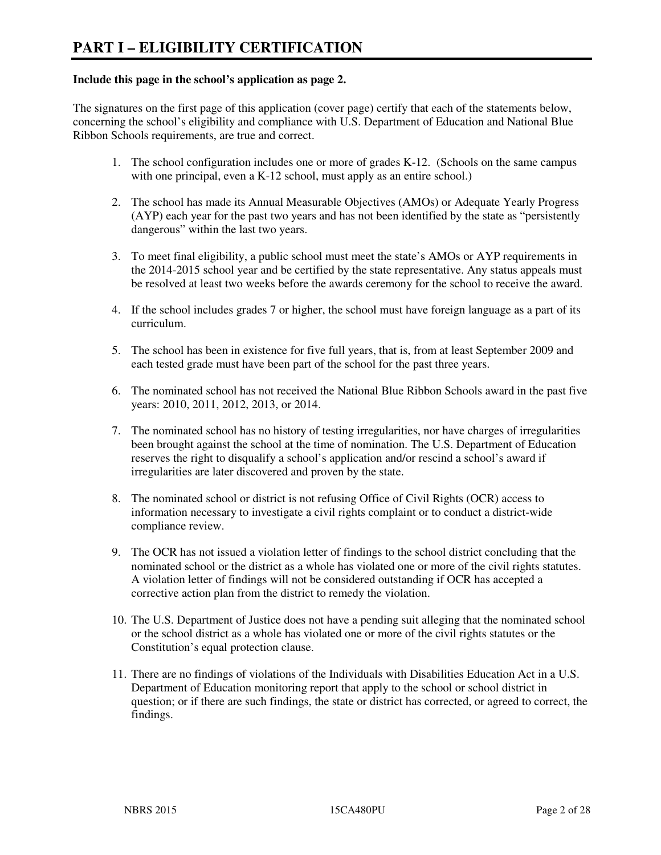#### **Include this page in the school's application as page 2.**

The signatures on the first page of this application (cover page) certify that each of the statements below, concerning the school's eligibility and compliance with U.S. Department of Education and National Blue Ribbon Schools requirements, are true and correct.

- 1. The school configuration includes one or more of grades K-12. (Schools on the same campus with one principal, even a K-12 school, must apply as an entire school.)
- 2. The school has made its Annual Measurable Objectives (AMOs) or Adequate Yearly Progress (AYP) each year for the past two years and has not been identified by the state as "persistently dangerous" within the last two years.
- 3. To meet final eligibility, a public school must meet the state's AMOs or AYP requirements in the 2014-2015 school year and be certified by the state representative. Any status appeals must be resolved at least two weeks before the awards ceremony for the school to receive the award.
- 4. If the school includes grades 7 or higher, the school must have foreign language as a part of its curriculum.
- 5. The school has been in existence for five full years, that is, from at least September 2009 and each tested grade must have been part of the school for the past three years.
- 6. The nominated school has not received the National Blue Ribbon Schools award in the past five years: 2010, 2011, 2012, 2013, or 2014.
- 7. The nominated school has no history of testing irregularities, nor have charges of irregularities been brought against the school at the time of nomination. The U.S. Department of Education reserves the right to disqualify a school's application and/or rescind a school's award if irregularities are later discovered and proven by the state.
- 8. The nominated school or district is not refusing Office of Civil Rights (OCR) access to information necessary to investigate a civil rights complaint or to conduct a district-wide compliance review.
- 9. The OCR has not issued a violation letter of findings to the school district concluding that the nominated school or the district as a whole has violated one or more of the civil rights statutes. A violation letter of findings will not be considered outstanding if OCR has accepted a corrective action plan from the district to remedy the violation.
- 10. The U.S. Department of Justice does not have a pending suit alleging that the nominated school or the school district as a whole has violated one or more of the civil rights statutes or the Constitution's equal protection clause.
- 11. There are no findings of violations of the Individuals with Disabilities Education Act in a U.S. Department of Education monitoring report that apply to the school or school district in question; or if there are such findings, the state or district has corrected, or agreed to correct, the findings.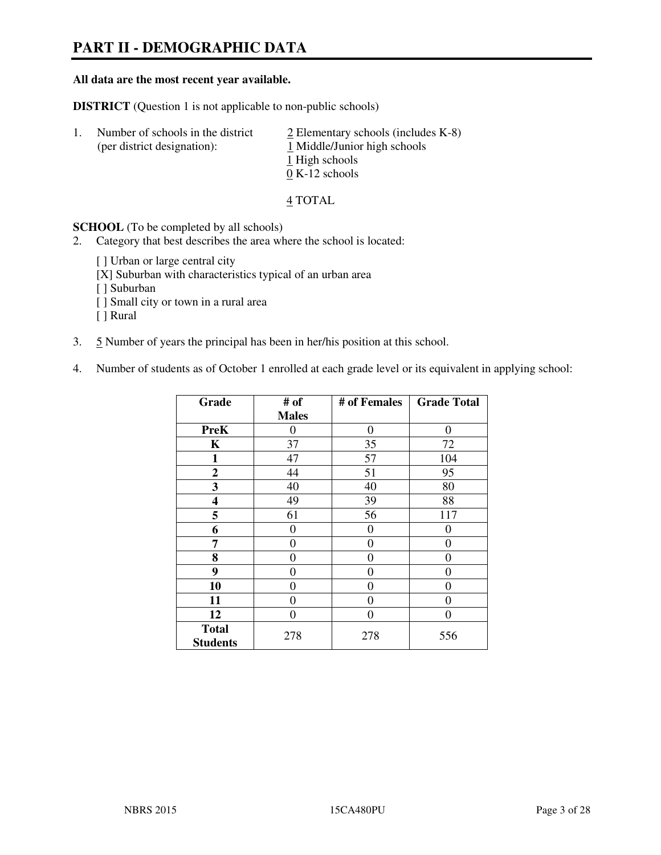# **PART II - DEMOGRAPHIC DATA**

#### **All data are the most recent year available.**

**DISTRICT** (Question 1 is not applicable to non-public schools)

| Τ. | Number of schools in the district<br>(per district designation): | $\angle$ Elementary schools (includes K-8)<br>1 Middle/Junior high schools |
|----|------------------------------------------------------------------|----------------------------------------------------------------------------|
|    |                                                                  | 1 High schools<br>$0 K-12$ schools                                         |

4 TOTAL

**SCHOOL** (To be completed by all schools)

- 2. Category that best describes the area where the school is located:
	- [ ] Urban or large central city
	- [X] Suburban with characteristics typical of an urban area
	- [ ] Suburban
	- [ ] Small city or town in a rural area
	- [ ] Rural
- 3. 5 Number of years the principal has been in her/his position at this school.
- 4. Number of students as of October 1 enrolled at each grade level or its equivalent in applying school:

| Grade                           | # of         | # of Females   | <b>Grade Total</b> |
|---------------------------------|--------------|----------------|--------------------|
|                                 | <b>Males</b> |                |                    |
| <b>PreK</b>                     | $\theta$     | $\theta$       | $\theta$           |
| K                               | 37           | 35             | 72                 |
| $\mathbf{1}$                    | 47           | 57             | 104                |
| $\mathbf{2}$                    | 44           | 51             | 95                 |
| 3                               | 40           | 40             | 80                 |
| 4                               | 49           | 39             | 88                 |
| 5                               | 61           | 56             | 117                |
| 6                               | 0            | 0              | $\theta$           |
| 7                               | 0            | $\overline{0}$ | 0                  |
| 8                               | 0            | 0              | 0                  |
| 9                               | $\theta$     | 0              | 0                  |
| 10                              | 0            | 0              | 0                  |
| 11                              | 0            | 0              | $\theta$           |
| 12                              | 0            | 0              | 0                  |
| <b>Total</b><br><b>Students</b> | 278          | 278            | 556                |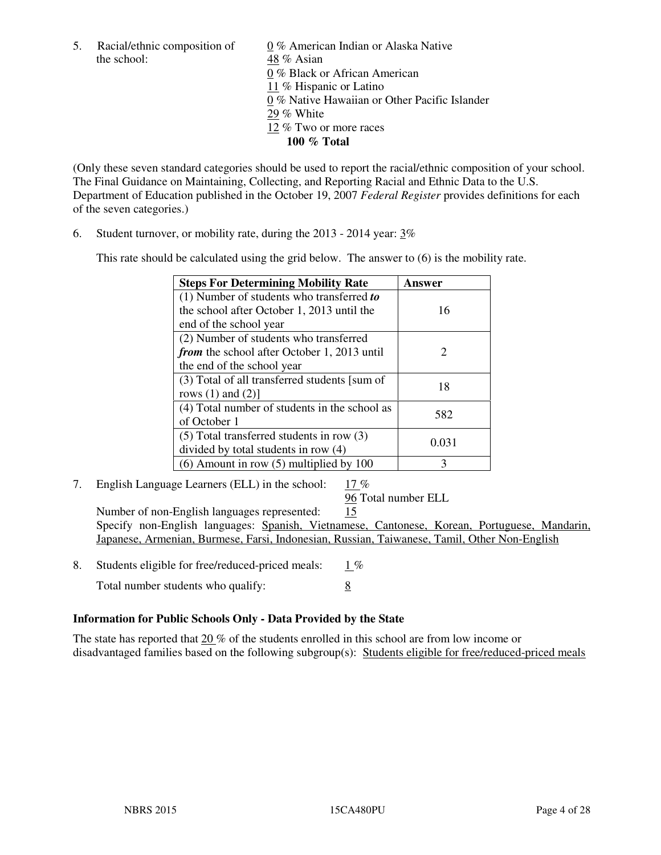the school: 48 % Asian

5. Racial/ethnic composition of 0 % American Indian or Alaska Native 0 % Black or African American 11 % Hispanic or Latino 0 % Native Hawaiian or Other Pacific Islander 29 % White 12 % Two or more races **100 % Total** 

(Only these seven standard categories should be used to report the racial/ethnic composition of your school. The Final Guidance on Maintaining, Collecting, and Reporting Racial and Ethnic Data to the U.S. Department of Education published in the October 19, 2007 *Federal Register* provides definitions for each of the seven categories.)

6. Student turnover, or mobility rate, during the 2013 - 2014 year: 3%

This rate should be calculated using the grid below. The answer to (6) is the mobility rate.

| <b>Steps For Determining Mobility Rate</b>         | Answer |
|----------------------------------------------------|--------|
| $(1)$ Number of students who transferred to        |        |
| the school after October 1, 2013 until the         | 16     |
| end of the school year                             |        |
| (2) Number of students who transferred             |        |
| <i>from</i> the school after October 1, 2013 until | 2      |
| the end of the school year                         |        |
| (3) Total of all transferred students [sum of      | 18     |
| rows $(1)$ and $(2)$ ]                             |        |
| (4) Total number of students in the school as      | 582    |
| of October 1                                       |        |
| $(5)$ Total transferred students in row $(3)$      | 0.031  |
| divided by total students in row (4)               |        |
| $(6)$ Amount in row $(5)$ multiplied by 100        | 3      |

7. English Language Learners (ELL) in the school: 17 %

96 Total number ELL

 Number of non-English languages represented: 15 Specify non-English languages: Spanish, Vietnamese, Cantonese, Korean, Portuguese, Mandarin, Japanese, Armenian, Burmese, Farsi, Indonesian, Russian, Taiwanese, Tamil, Other Non-English

- 8. Students eligible for free/reduced-priced meals:  $1\%$ 
	- Total number students who qualify: 8

## **Information for Public Schools Only - Data Provided by the State**

The state has reported that  $20\%$  of the students enrolled in this school are from low income or disadvantaged families based on the following subgroup(s): Students eligible for free/reduced-priced meals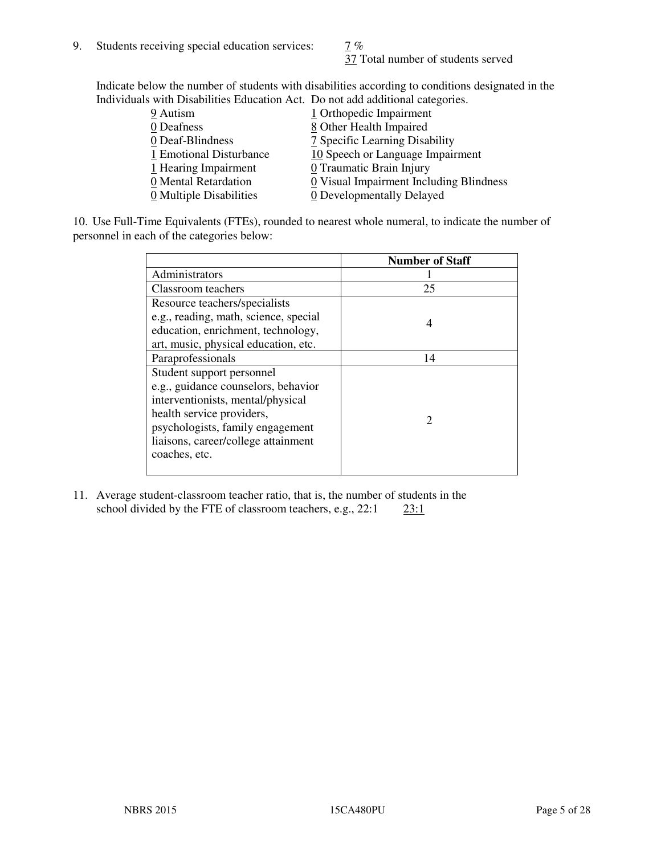37 Total number of students served

Indicate below the number of students with disabilities according to conditions designated in the Individuals with Disabilities Education Act. Do not add additional categories.

| 9 Autism                | 1 Orthopedic Impairment                 |
|-------------------------|-----------------------------------------|
| 0 Deafness              | 8 Other Health Impaired                 |
| 0 Deaf-Blindness        | 7 Specific Learning Disability          |
| 1 Emotional Disturbance | 10 Speech or Language Impairment        |
| 1 Hearing Impairment    | 0 Traumatic Brain Injury                |
| 0 Mental Retardation    | 0 Visual Impairment Including Blindness |
| 0 Multiple Disabilities | 0 Developmentally Delayed               |
|                         |                                         |

10. Use Full-Time Equivalents (FTEs), rounded to nearest whole numeral, to indicate the number of personnel in each of the categories below:

|                                       | <b>Number of Staff</b> |
|---------------------------------------|------------------------|
| Administrators                        |                        |
| Classroom teachers                    | 25                     |
| Resource teachers/specialists         |                        |
| e.g., reading, math, science, special | 4                      |
| education, enrichment, technology,    |                        |
| art, music, physical education, etc.  |                        |
| Paraprofessionals                     | 14                     |
| Student support personnel             |                        |
| e.g., guidance counselors, behavior   |                        |
| interventionists, mental/physical     |                        |
| health service providers,             |                        |
| psychologists, family engagement      |                        |
| liaisons, career/college attainment   |                        |
| coaches, etc.                         |                        |
|                                       |                        |

11. Average student-classroom teacher ratio, that is, the number of students in the school divided by the FTE of classroom teachers, e.g.,  $22:1$   $23:1$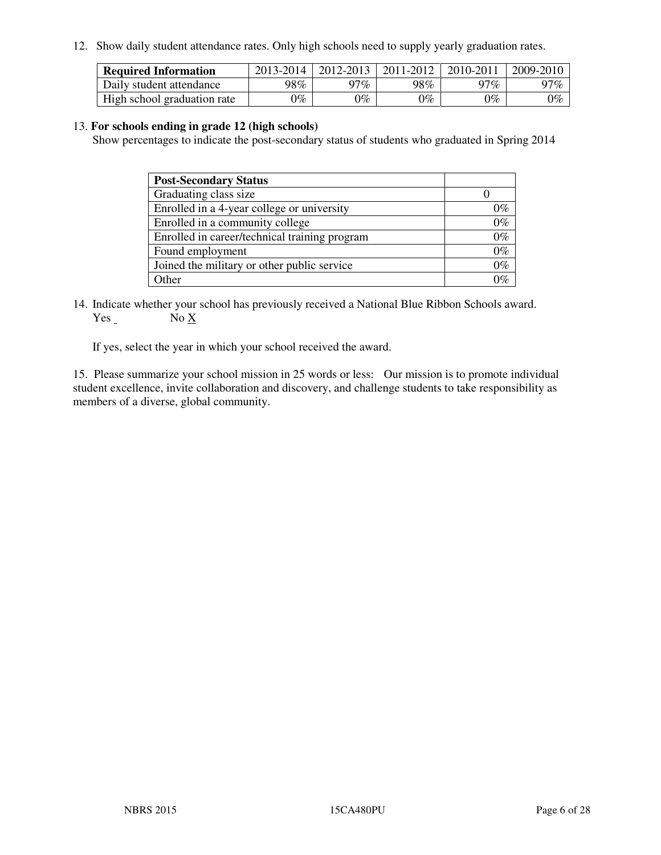12. Show daily student attendance rates. Only high schools need to supply yearly graduation rates.

| <b>Required Information</b> | 2013-2014     | 2012-2013       | 2011-2012 | 2010-2011 | 2009-2010 |
|-----------------------------|---------------|-----------------|-----------|-----------|-----------|
| Daily student attendance    | 98%           | 97%             | 98%       | $17\%$    | 97%       |
| High school graduation rate | $\gamma_{\%}$ | $\mathcal{V}_o$ | $0\%$     | 0%        | 0%        |

#### 13. **For schools ending in grade 12 (high schools)**

Show percentages to indicate the post-secondary status of students who graduated in Spring 2014

| <b>Post-Secondary Status</b>                  |       |
|-----------------------------------------------|-------|
| Graduating class size                         |       |
| Enrolled in a 4-year college or university    | በ‰    |
| Enrolled in a community college               | $0\%$ |
| Enrolled in career/technical training program | $0\%$ |
| Found employment                              | $0\%$ |
| Joined the military or other public service   | 0%    |
| Other                                         |       |

14. Indicate whether your school has previously received a National Blue Ribbon Schools award. Yes No X

If yes, select the year in which your school received the award.

15. Please summarize your school mission in 25 words or less: Our mission is to promote individual student excellence, invite collaboration and discovery, and challenge students to take responsibility as members of a diverse, global community.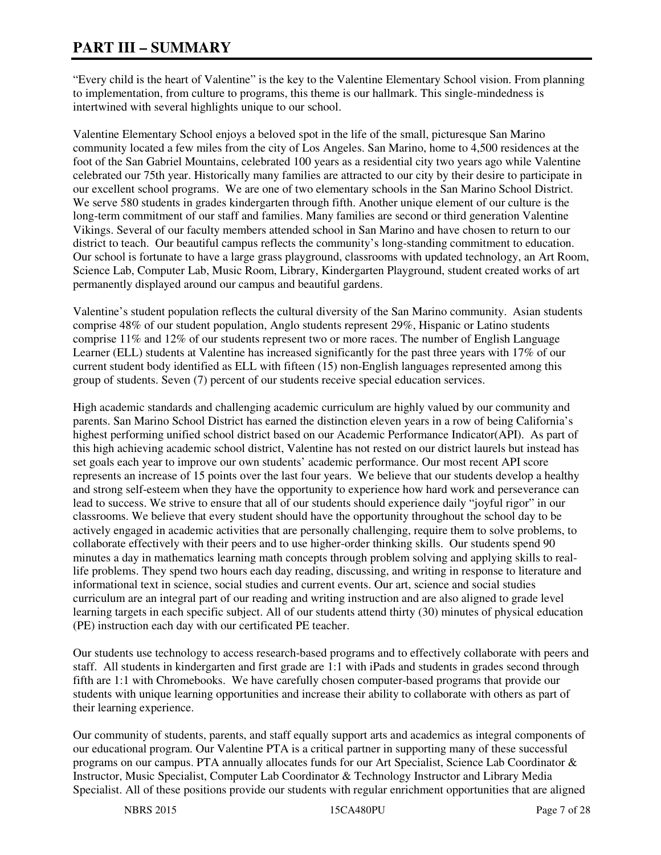# **PART III – SUMMARY**

"Every child is the heart of Valentine" is the key to the Valentine Elementary School vision. From planning to implementation, from culture to programs, this theme is our hallmark. This single-mindedness is intertwined with several highlights unique to our school.

Valentine Elementary School enjoys a beloved spot in the life of the small, picturesque San Marino community located a few miles from the city of Los Angeles. San Marino, home to 4,500 residences at the foot of the San Gabriel Mountains, celebrated 100 years as a residential city two years ago while Valentine celebrated our 75th year. Historically many families are attracted to our city by their desire to participate in our excellent school programs. We are one of two elementary schools in the San Marino School District. We serve 580 students in grades kindergarten through fifth. Another unique element of our culture is the long-term commitment of our staff and families. Many families are second or third generation Valentine Vikings. Several of our faculty members attended school in San Marino and have chosen to return to our district to teach. Our beautiful campus reflects the community's long-standing commitment to education. Our school is fortunate to have a large grass playground, classrooms with updated technology, an Art Room, Science Lab, Computer Lab, Music Room, Library, Kindergarten Playground, student created works of art permanently displayed around our campus and beautiful gardens.

Valentine's student population reflects the cultural diversity of the San Marino community. Asian students comprise 48% of our student population, Anglo students represent 29%, Hispanic or Latino students comprise 11% and 12% of our students represent two or more races. The number of English Language Learner (ELL) students at Valentine has increased significantly for the past three years with 17% of our current student body identified as ELL with fifteen (15) non-English languages represented among this group of students. Seven (7) percent of our students receive special education services.

High academic standards and challenging academic curriculum are highly valued by our community and parents. San Marino School District has earned the distinction eleven years in a row of being California's highest performing unified school district based on our Academic Performance Indicator(API). As part of this high achieving academic school district, Valentine has not rested on our district laurels but instead has set goals each year to improve our own students' academic performance. Our most recent API score represents an increase of 15 points over the last four years. We believe that our students develop a healthy and strong self-esteem when they have the opportunity to experience how hard work and perseverance can lead to success. We strive to ensure that all of our students should experience daily "joyful rigor" in our classrooms. We believe that every student should have the opportunity throughout the school day to be actively engaged in academic activities that are personally challenging, require them to solve problems, to collaborate effectively with their peers and to use higher-order thinking skills. Our students spend 90 minutes a day in mathematics learning math concepts through problem solving and applying skills to reallife problems. They spend two hours each day reading, discussing, and writing in response to literature and informational text in science, social studies and current events. Our art, science and social studies curriculum are an integral part of our reading and writing instruction and are also aligned to grade level learning targets in each specific subject. All of our students attend thirty (30) minutes of physical education (PE) instruction each day with our certificated PE teacher.

Our students use technology to access research-based programs and to effectively collaborate with peers and staff. All students in kindergarten and first grade are 1:1 with iPads and students in grades second through fifth are 1:1 with Chromebooks. We have carefully chosen computer-based programs that provide our students with unique learning opportunities and increase their ability to collaborate with others as part of their learning experience.

Our community of students, parents, and staff equally support arts and academics as integral components of our educational program. Our Valentine PTA is a critical partner in supporting many of these successful programs on our campus. PTA annually allocates funds for our Art Specialist, Science Lab Coordinator & Instructor, Music Specialist, Computer Lab Coordinator & Technology Instructor and Library Media Specialist. All of these positions provide our students with regular enrichment opportunities that are aligned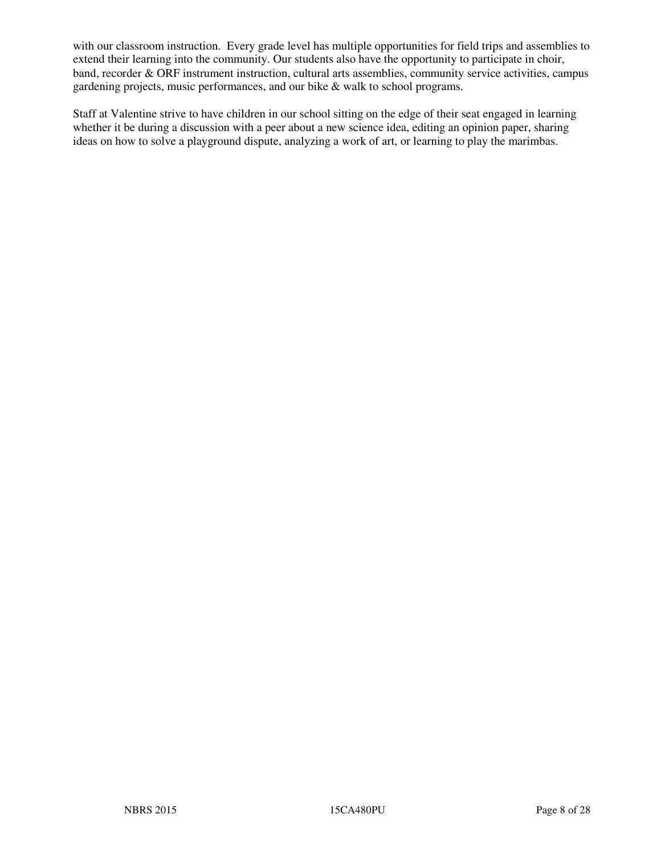with our classroom instruction. Every grade level has multiple opportunities for field trips and assemblies to extend their learning into the community. Our students also have the opportunity to participate in choir, band, recorder & ORF instrument instruction, cultural arts assemblies, community service activities, campus gardening projects, music performances, and our bike & walk to school programs.

Staff at Valentine strive to have children in our school sitting on the edge of their seat engaged in learning whether it be during a discussion with a peer about a new science idea, editing an opinion paper, sharing ideas on how to solve a playground dispute, analyzing a work of art, or learning to play the marimbas.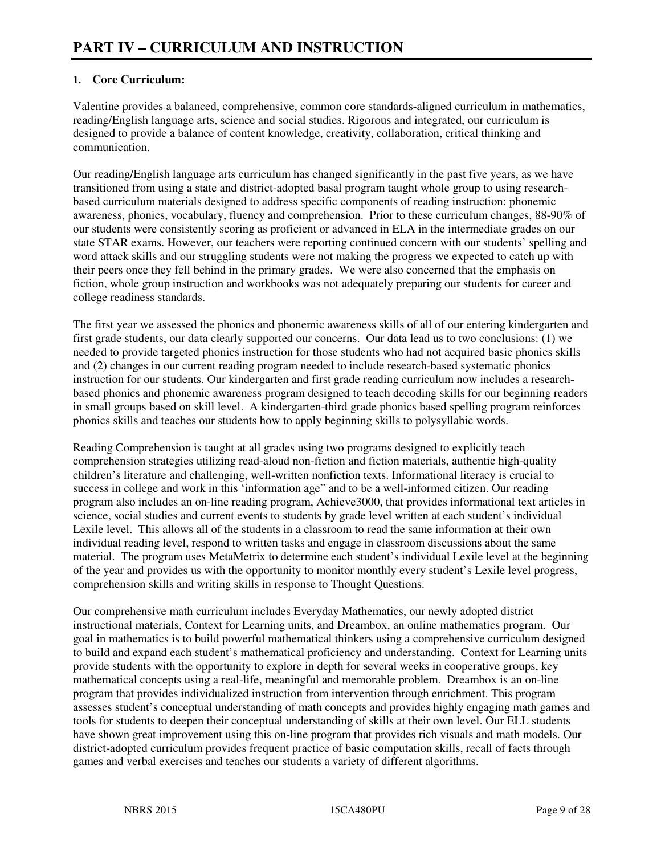## **1. Core Curriculum:**

Valentine provides a balanced, comprehensive, common core standards-aligned curriculum in mathematics, reading/English language arts, science and social studies. Rigorous and integrated, our curriculum is designed to provide a balance of content knowledge, creativity, collaboration, critical thinking and communication.

Our reading/English language arts curriculum has changed significantly in the past five years, as we have transitioned from using a state and district-adopted basal program taught whole group to using researchbased curriculum materials designed to address specific components of reading instruction: phonemic awareness, phonics, vocabulary, fluency and comprehension. Prior to these curriculum changes, 88-90% of our students were consistently scoring as proficient or advanced in ELA in the intermediate grades on our state STAR exams. However, our teachers were reporting continued concern with our students' spelling and word attack skills and our struggling students were not making the progress we expected to catch up with their peers once they fell behind in the primary grades. We were also concerned that the emphasis on fiction, whole group instruction and workbooks was not adequately preparing our students for career and college readiness standards.

The first year we assessed the phonics and phonemic awareness skills of all of our entering kindergarten and first grade students, our data clearly supported our concerns. Our data lead us to two conclusions: (1) we needed to provide targeted phonics instruction for those students who had not acquired basic phonics skills and (2) changes in our current reading program needed to include research-based systematic phonics instruction for our students. Our kindergarten and first grade reading curriculum now includes a researchbased phonics and phonemic awareness program designed to teach decoding skills for our beginning readers in small groups based on skill level. A kindergarten-third grade phonics based spelling program reinforces phonics skills and teaches our students how to apply beginning skills to polysyllabic words.

Reading Comprehension is taught at all grades using two programs designed to explicitly teach comprehension strategies utilizing read-aloud non-fiction and fiction materials, authentic high-quality children's literature and challenging, well-written nonfiction texts. Informational literacy is crucial to success in college and work in this 'information age" and to be a well-informed citizen. Our reading program also includes an on-line reading program, Achieve3000, that provides informational text articles in science, social studies and current events to students by grade level written at each student's individual Lexile level. This allows all of the students in a classroom to read the same information at their own individual reading level, respond to written tasks and engage in classroom discussions about the same material. The program uses MetaMetrix to determine each student's individual Lexile level at the beginning of the year and provides us with the opportunity to monitor monthly every student's Lexile level progress, comprehension skills and writing skills in response to Thought Questions.

Our comprehensive math curriculum includes Everyday Mathematics, our newly adopted district instructional materials, Context for Learning units, and Dreambox, an online mathematics program. Our goal in mathematics is to build powerful mathematical thinkers using a comprehensive curriculum designed to build and expand each student's mathematical proficiency and understanding. Context for Learning units provide students with the opportunity to explore in depth for several weeks in cooperative groups, key mathematical concepts using a real-life, meaningful and memorable problem. Dreambox is an on-line program that provides individualized instruction from intervention through enrichment. This program assesses student's conceptual understanding of math concepts and provides highly engaging math games and tools for students to deepen their conceptual understanding of skills at their own level. Our ELL students have shown great improvement using this on-line program that provides rich visuals and math models. Our district-adopted curriculum provides frequent practice of basic computation skills, recall of facts through games and verbal exercises and teaches our students a variety of different algorithms.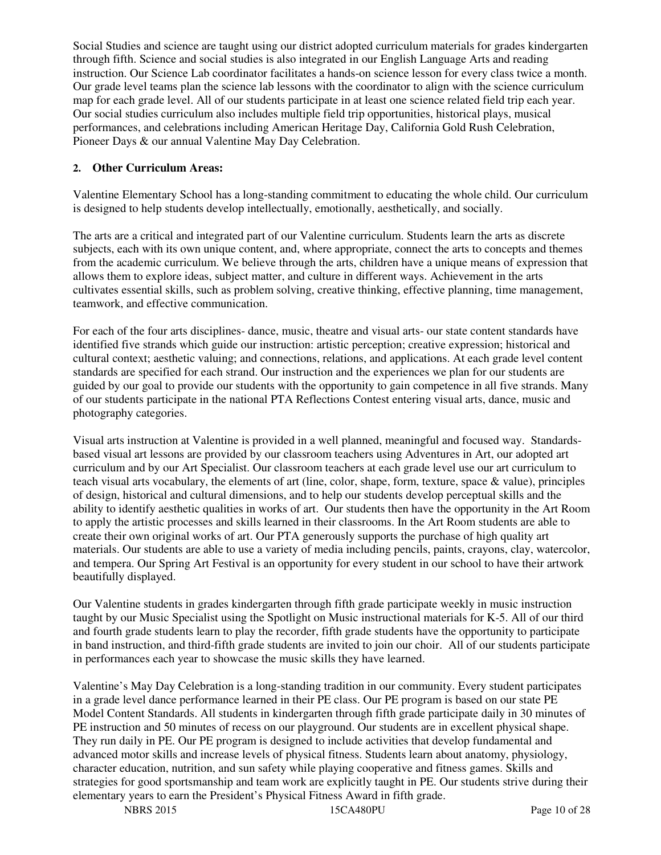Social Studies and science are taught using our district adopted curriculum materials for grades kindergarten through fifth. Science and social studies is also integrated in our English Language Arts and reading instruction. Our Science Lab coordinator facilitates a hands-on science lesson for every class twice a month. Our grade level teams plan the science lab lessons with the coordinator to align with the science curriculum map for each grade level. All of our students participate in at least one science related field trip each year. Our social studies curriculum also includes multiple field trip opportunities, historical plays, musical performances, and celebrations including American Heritage Day, California Gold Rush Celebration, Pioneer Days & our annual Valentine May Day Celebration.

#### **2. Other Curriculum Areas:**

Valentine Elementary School has a long-standing commitment to educating the whole child. Our curriculum is designed to help students develop intellectually, emotionally, aesthetically, and socially.

The arts are a critical and integrated part of our Valentine curriculum. Students learn the arts as discrete subjects, each with its own unique content, and, where appropriate, connect the arts to concepts and themes from the academic curriculum. We believe through the arts, children have a unique means of expression that allows them to explore ideas, subject matter, and culture in different ways. Achievement in the arts cultivates essential skills, such as problem solving, creative thinking, effective planning, time management, teamwork, and effective communication.

For each of the four arts disciplines- dance, music, theatre and visual arts- our state content standards have identified five strands which guide our instruction: artistic perception; creative expression; historical and cultural context; aesthetic valuing; and connections, relations, and applications. At each grade level content standards are specified for each strand. Our instruction and the experiences we plan for our students are guided by our goal to provide our students with the opportunity to gain competence in all five strands. Many of our students participate in the national PTA Reflections Contest entering visual arts, dance, music and photography categories.

Visual arts instruction at Valentine is provided in a well planned, meaningful and focused way. Standardsbased visual art lessons are provided by our classroom teachers using Adventures in Art, our adopted art curriculum and by our Art Specialist. Our classroom teachers at each grade level use our art curriculum to teach visual arts vocabulary, the elements of art (line, color, shape, form, texture, space & value), principles of design, historical and cultural dimensions, and to help our students develop perceptual skills and the ability to identify aesthetic qualities in works of art. Our students then have the opportunity in the Art Room to apply the artistic processes and skills learned in their classrooms. In the Art Room students are able to create their own original works of art. Our PTA generously supports the purchase of high quality art materials. Our students are able to use a variety of media including pencils, paints, crayons, clay, watercolor, and tempera. Our Spring Art Festival is an opportunity for every student in our school to have their artwork beautifully displayed.

Our Valentine students in grades kindergarten through fifth grade participate weekly in music instruction taught by our Music Specialist using the Spotlight on Music instructional materials for K-5. All of our third and fourth grade students learn to play the recorder, fifth grade students have the opportunity to participate in band instruction, and third-fifth grade students are invited to join our choir. All of our students participate in performances each year to showcase the music skills they have learned.

Valentine's May Day Celebration is a long-standing tradition in our community. Every student participates in a grade level dance performance learned in their PE class. Our PE program is based on our state PE Model Content Standards. All students in kindergarten through fifth grade participate daily in 30 minutes of PE instruction and 50 minutes of recess on our playground. Our students are in excellent physical shape. They run daily in PE. Our PE program is designed to include activities that develop fundamental and advanced motor skills and increase levels of physical fitness. Students learn about anatomy, physiology, character education, nutrition, and sun safety while playing cooperative and fitness games. Skills and strategies for good sportsmanship and team work are explicitly taught in PE. Our students strive during their elementary years to earn the President's Physical Fitness Award in fifth grade.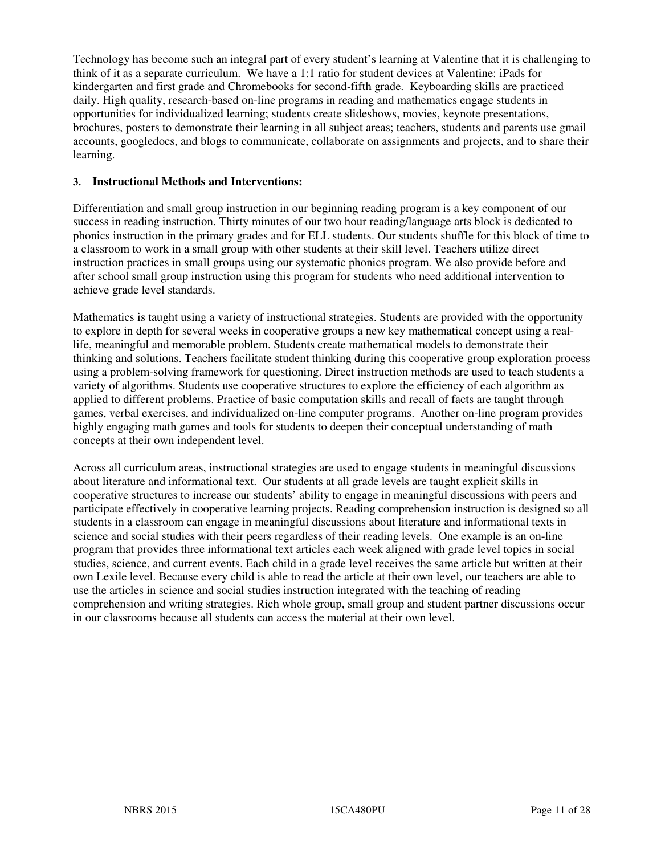Technology has become such an integral part of every student's learning at Valentine that it is challenging to think of it as a separate curriculum. We have a 1:1 ratio for student devices at Valentine: iPads for kindergarten and first grade and Chromebooks for second-fifth grade. Keyboarding skills are practiced daily. High quality, research-based on-line programs in reading and mathematics engage students in opportunities for individualized learning; students create slideshows, movies, keynote presentations, brochures, posters to demonstrate their learning in all subject areas; teachers, students and parents use gmail accounts, googledocs, and blogs to communicate, collaborate on assignments and projects, and to share their learning.

#### **3. Instructional Methods and Interventions:**

Differentiation and small group instruction in our beginning reading program is a key component of our success in reading instruction. Thirty minutes of our two hour reading/language arts block is dedicated to phonics instruction in the primary grades and for ELL students. Our students shuffle for this block of time to a classroom to work in a small group with other students at their skill level. Teachers utilize direct instruction practices in small groups using our systematic phonics program. We also provide before and after school small group instruction using this program for students who need additional intervention to achieve grade level standards.

Mathematics is taught using a variety of instructional strategies. Students are provided with the opportunity to explore in depth for several weeks in cooperative groups a new key mathematical concept using a reallife, meaningful and memorable problem. Students create mathematical models to demonstrate their thinking and solutions. Teachers facilitate student thinking during this cooperative group exploration process using a problem-solving framework for questioning. Direct instruction methods are used to teach students a variety of algorithms. Students use cooperative structures to explore the efficiency of each algorithm as applied to different problems. Practice of basic computation skills and recall of facts are taught through games, verbal exercises, and individualized on-line computer programs. Another on-line program provides highly engaging math games and tools for students to deepen their conceptual understanding of math concepts at their own independent level.

Across all curriculum areas, instructional strategies are used to engage students in meaningful discussions about literature and informational text. Our students at all grade levels are taught explicit skills in cooperative structures to increase our students' ability to engage in meaningful discussions with peers and participate effectively in cooperative learning projects. Reading comprehension instruction is designed so all students in a classroom can engage in meaningful discussions about literature and informational texts in science and social studies with their peers regardless of their reading levels. One example is an on-line program that provides three informational text articles each week aligned with grade level topics in social studies, science, and current events. Each child in a grade level receives the same article but written at their own Lexile level. Because every child is able to read the article at their own level, our teachers are able to use the articles in science and social studies instruction integrated with the teaching of reading comprehension and writing strategies. Rich whole group, small group and student partner discussions occur in our classrooms because all students can access the material at their own level.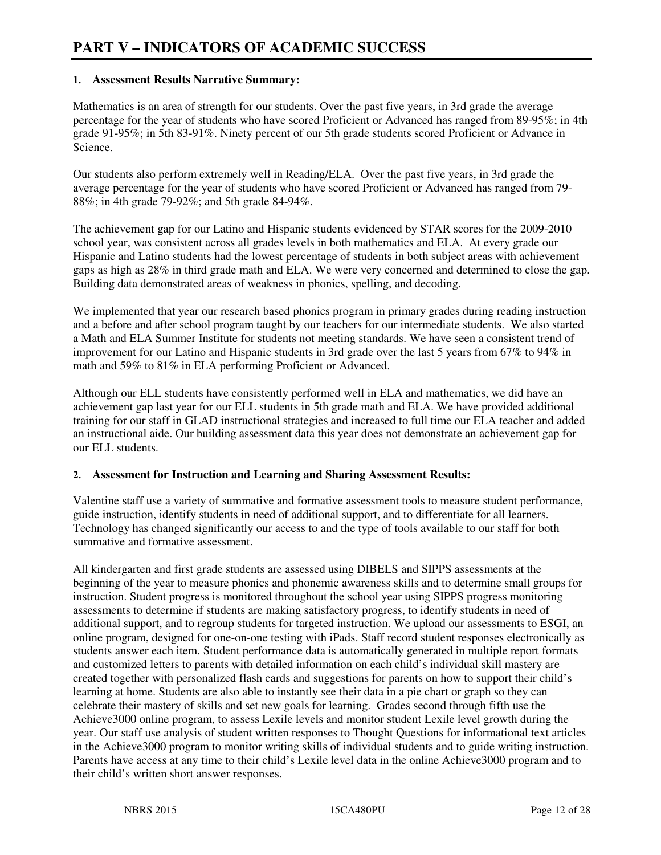#### **1. Assessment Results Narrative Summary:**

Mathematics is an area of strength for our students. Over the past five years, in 3rd grade the average percentage for the year of students who have scored Proficient or Advanced has ranged from 89-95%; in 4th grade 91-95%; in 5th 83-91%. Ninety percent of our 5th grade students scored Proficient or Advance in Science.

Our students also perform extremely well in Reading/ELA. Over the past five years, in 3rd grade the average percentage for the year of students who have scored Proficient or Advanced has ranged from 79- 88%; in 4th grade 79-92%; and 5th grade 84-94%.

The achievement gap for our Latino and Hispanic students evidenced by STAR scores for the 2009-2010 school year, was consistent across all grades levels in both mathematics and ELA. At every grade our Hispanic and Latino students had the lowest percentage of students in both subject areas with achievement gaps as high as 28% in third grade math and ELA. We were very concerned and determined to close the gap. Building data demonstrated areas of weakness in phonics, spelling, and decoding.

We implemented that year our research based phonics program in primary grades during reading instruction and a before and after school program taught by our teachers for our intermediate students. We also started a Math and ELA Summer Institute for students not meeting standards. We have seen a consistent trend of improvement for our Latino and Hispanic students in 3rd grade over the last 5 years from 67% to 94% in math and 59% to 81% in ELA performing Proficient or Advanced.

Although our ELL students have consistently performed well in ELA and mathematics, we did have an achievement gap last year for our ELL students in 5th grade math and ELA. We have provided additional training for our staff in GLAD instructional strategies and increased to full time our ELA teacher and added an instructional aide. Our building assessment data this year does not demonstrate an achievement gap for our ELL students.

#### **2. Assessment for Instruction and Learning and Sharing Assessment Results:**

Valentine staff use a variety of summative and formative assessment tools to measure student performance, guide instruction, identify students in need of additional support, and to differentiate for all learners. Technology has changed significantly our access to and the type of tools available to our staff for both summative and formative assessment.

All kindergarten and first grade students are assessed using DIBELS and SIPPS assessments at the beginning of the year to measure phonics and phonemic awareness skills and to determine small groups for instruction. Student progress is monitored throughout the school year using SIPPS progress monitoring assessments to determine if students are making satisfactory progress, to identify students in need of additional support, and to regroup students for targeted instruction. We upload our assessments to ESGI, an online program, designed for one-on-one testing with iPads. Staff record student responses electronically as students answer each item. Student performance data is automatically generated in multiple report formats and customized letters to parents with detailed information on each child's individual skill mastery are created together with personalized flash cards and suggestions for parents on how to support their child's learning at home. Students are also able to instantly see their data in a pie chart or graph so they can celebrate their mastery of skills and set new goals for learning. Grades second through fifth use the Achieve3000 online program, to assess Lexile levels and monitor student Lexile level growth during the year. Our staff use analysis of student written responses to Thought Questions for informational text articles in the Achieve3000 program to monitor writing skills of individual students and to guide writing instruction. Parents have access at any time to their child's Lexile level data in the online Achieve3000 program and to their child's written short answer responses.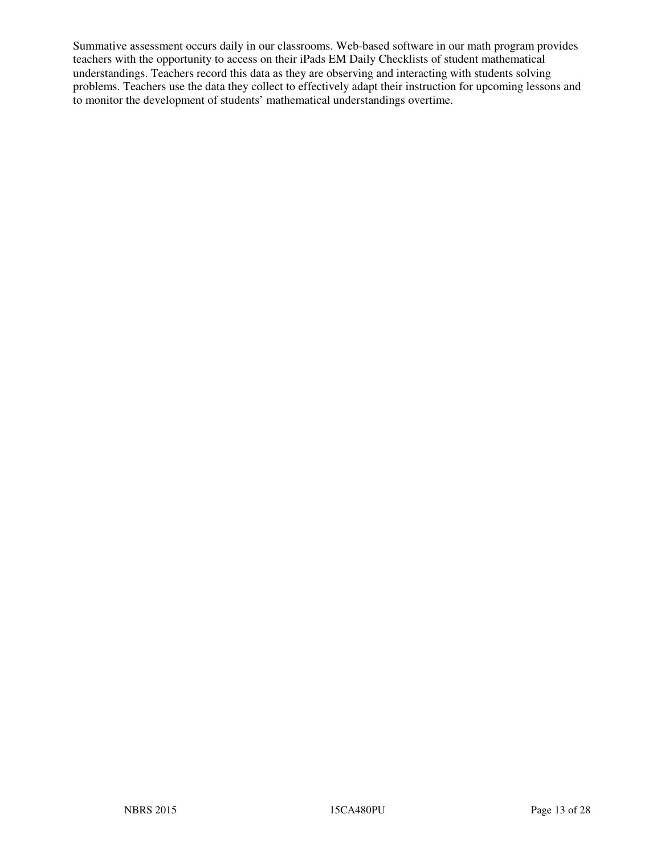Summative assessment occurs daily in our classrooms. Web-based software in our math program provides teachers with the opportunity to access on their iPads EM Daily Checklists of student mathematical understandings. Teachers record this data as they are observing and interacting with students solving problems. Teachers use the data they collect to effectively adapt their instruction for upcoming lessons and to monitor the development of students' mathematical understandings overtime.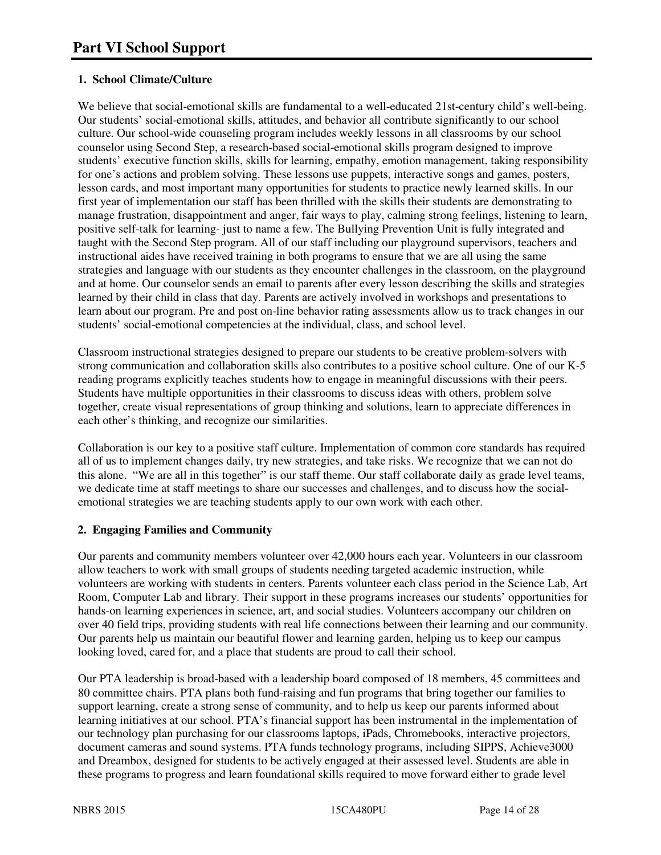## **1. School Climate/Culture**

We believe that social-emotional skills are fundamental to a well-educated 21st-century child's well-being. Our students' social-emotional skills, attitudes, and behavior all contribute significantly to our school culture. Our school-wide counseling program includes weekly lessons in all classrooms by our school counselor using Second Step, a research-based social-emotional skills program designed to improve students' executive function skills, skills for learning, empathy, emotion management, taking responsibility for one's actions and problem solving. These lessons use puppets, interactive songs and games, posters, lesson cards, and most important many opportunities for students to practice newly learned skills. In our first year of implementation our staff has been thrilled with the skills their students are demonstrating to manage frustration, disappointment and anger, fair ways to play, calming strong feelings, listening to learn, positive self-talk for learning- just to name a few. The Bullying Prevention Unit is fully integrated and taught with the Second Step program. All of our staff including our playground supervisors, teachers and instructional aides have received training in both programs to ensure that we are all using the same strategies and language with our students as they encounter challenges in the classroom, on the playground and at home. Our counselor sends an email to parents after every lesson describing the skills and strategies learned by their child in class that day. Parents are actively involved in workshops and presentations to learn about our program. Pre and post on-line behavior rating assessments allow us to track changes in our students' social-emotional competencies at the individual, class, and school level.

Classroom instructional strategies designed to prepare our students to be creative problem-solvers with strong communication and collaboration skills also contributes to a positive school culture. One of our K-5 reading programs explicitly teaches students how to engage in meaningful discussions with their peers. Students have multiple opportunities in their classrooms to discuss ideas with others, problem solve together, create visual representations of group thinking and solutions, learn to appreciate differences in each other's thinking, and recognize our similarities.

Collaboration is our key to a positive staff culture. Implementation of common core standards has required all of us to implement changes daily, try new strategies, and take risks. We recognize that we can not do this alone. "We are all in this together" is our staff theme. Our staff collaborate daily as grade level teams, we dedicate time at staff meetings to share our successes and challenges, and to discuss how the socialemotional strategies we are teaching students apply to our own work with each other.

## **2. Engaging Families and Community**

Our parents and community members volunteer over 42,000 hours each year. Volunteers in our classroom allow teachers to work with small groups of students needing targeted academic instruction, while volunteers are working with students in centers. Parents volunteer each class period in the Science Lab, Art Room, Computer Lab and library. Their support in these programs increases our students' opportunities for hands-on learning experiences in science, art, and social studies. Volunteers accompany our children on over 40 field trips, providing students with real life connections between their learning and our community. Our parents help us maintain our beautiful flower and learning garden, helping us to keep our campus looking loved, cared for, and a place that students are proud to call their school.

Our PTA leadership is broad-based with a leadership board composed of 18 members, 45 committees and 80 committee chairs. PTA plans both fund-raising and fun programs that bring together our families to support learning, create a strong sense of community, and to help us keep our parents informed about learning initiatives at our school. PTA's financial support has been instrumental in the implementation of our technology plan purchasing for our classrooms laptops, iPads, Chromebooks, interactive projectors, document cameras and sound systems. PTA funds technology programs, including SIPPS, Achieve3000 and Dreambox, designed for students to be actively engaged at their assessed level. Students are able in these programs to progress and learn foundational skills required to move forward either to grade level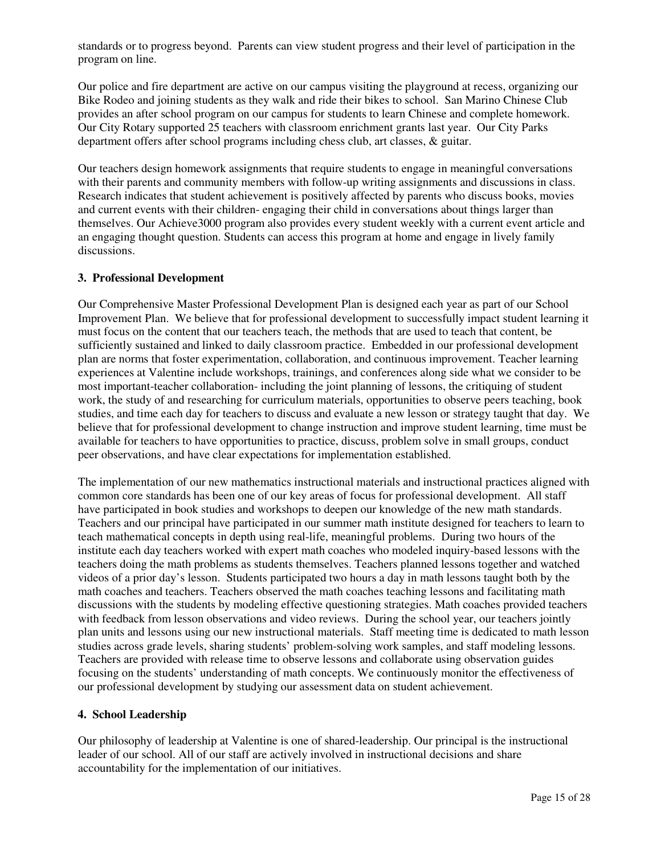standards or to progress beyond. Parents can view student progress and their level of participation in the program on line.

Our police and fire department are active on our campus visiting the playground at recess, organizing our Bike Rodeo and joining students as they walk and ride their bikes to school. San Marino Chinese Club provides an after school program on our campus for students to learn Chinese and complete homework. Our City Rotary supported 25 teachers with classroom enrichment grants last year. Our City Parks department offers after school programs including chess club, art classes, & guitar.

Our teachers design homework assignments that require students to engage in meaningful conversations with their parents and community members with follow-up writing assignments and discussions in class. Research indicates that student achievement is positively affected by parents who discuss books, movies and current events with their children- engaging their child in conversations about things larger than themselves. Our Achieve3000 program also provides every student weekly with a current event article and an engaging thought question. Students can access this program at home and engage in lively family discussions.

#### **3. Professional Development**

Our Comprehensive Master Professional Development Plan is designed each year as part of our School Improvement Plan. We believe that for professional development to successfully impact student learning it must focus on the content that our teachers teach, the methods that are used to teach that content, be sufficiently sustained and linked to daily classroom practice. Embedded in our professional development plan are norms that foster experimentation, collaboration, and continuous improvement. Teacher learning experiences at Valentine include workshops, trainings, and conferences along side what we consider to be most important-teacher collaboration- including the joint planning of lessons, the critiquing of student work, the study of and researching for curriculum materials, opportunities to observe peers teaching, book studies, and time each day for teachers to discuss and evaluate a new lesson or strategy taught that day. We believe that for professional development to change instruction and improve student learning, time must be available for teachers to have opportunities to practice, discuss, problem solve in small groups, conduct peer observations, and have clear expectations for implementation established.

The implementation of our new mathematics instructional materials and instructional practices aligned with common core standards has been one of our key areas of focus for professional development. All staff have participated in book studies and workshops to deepen our knowledge of the new math standards. Teachers and our principal have participated in our summer math institute designed for teachers to learn to teach mathematical concepts in depth using real-life, meaningful problems. During two hours of the institute each day teachers worked with expert math coaches who modeled inquiry-based lessons with the teachers doing the math problems as students themselves. Teachers planned lessons together and watched videos of a prior day's lesson. Students participated two hours a day in math lessons taught both by the math coaches and teachers. Teachers observed the math coaches teaching lessons and facilitating math discussions with the students by modeling effective questioning strategies. Math coaches provided teachers with feedback from lesson observations and video reviews. During the school year, our teachers jointly plan units and lessons using our new instructional materials. Staff meeting time is dedicated to math lesson studies across grade levels, sharing students' problem-solving work samples, and staff modeling lessons. Teachers are provided with release time to observe lessons and collaborate using observation guides focusing on the students' understanding of math concepts. We continuously monitor the effectiveness of our professional development by studying our assessment data on student achievement.

#### **4. School Leadership**

Our philosophy of leadership at Valentine is one of shared-leadership. Our principal is the instructional leader of our school. All of our staff are actively involved in instructional decisions and share accountability for the implementation of our initiatives.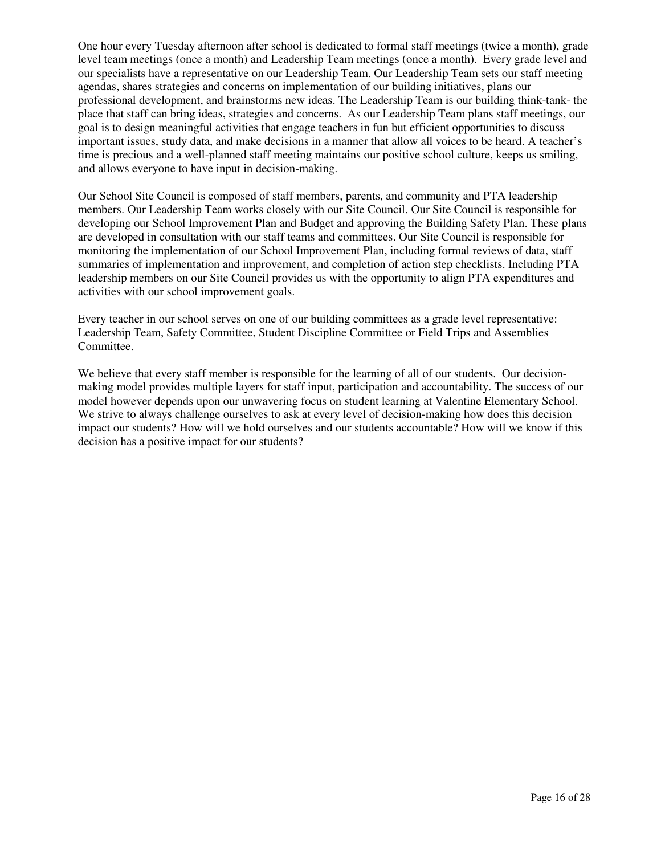One hour every Tuesday afternoon after school is dedicated to formal staff meetings (twice a month), grade level team meetings (once a month) and Leadership Team meetings (once a month). Every grade level and our specialists have a representative on our Leadership Team. Our Leadership Team sets our staff meeting agendas, shares strategies and concerns on implementation of our building initiatives, plans our professional development, and brainstorms new ideas. The Leadership Team is our building think-tank- the place that staff can bring ideas, strategies and concerns. As our Leadership Team plans staff meetings, our goal is to design meaningful activities that engage teachers in fun but efficient opportunities to discuss important issues, study data, and make decisions in a manner that allow all voices to be heard. A teacher's time is precious and a well-planned staff meeting maintains our positive school culture, keeps us smiling, and allows everyone to have input in decision-making.

Our School Site Council is composed of staff members, parents, and community and PTA leadership members. Our Leadership Team works closely with our Site Council. Our Site Council is responsible for developing our School Improvement Plan and Budget and approving the Building Safety Plan. These plans are developed in consultation with our staff teams and committees. Our Site Council is responsible for monitoring the implementation of our School Improvement Plan, including formal reviews of data, staff summaries of implementation and improvement, and completion of action step checklists. Including PTA leadership members on our Site Council provides us with the opportunity to align PTA expenditures and activities with our school improvement goals.

Every teacher in our school serves on one of our building committees as a grade level representative: Leadership Team, Safety Committee, Student Discipline Committee or Field Trips and Assemblies Committee.

We believe that every staff member is responsible for the learning of all of our students. Our decisionmaking model provides multiple layers for staff input, participation and accountability. The success of our model however depends upon our unwavering focus on student learning at Valentine Elementary School. We strive to always challenge ourselves to ask at every level of decision-making how does this decision impact our students? How will we hold ourselves and our students accountable? How will we know if this decision has a positive impact for our students?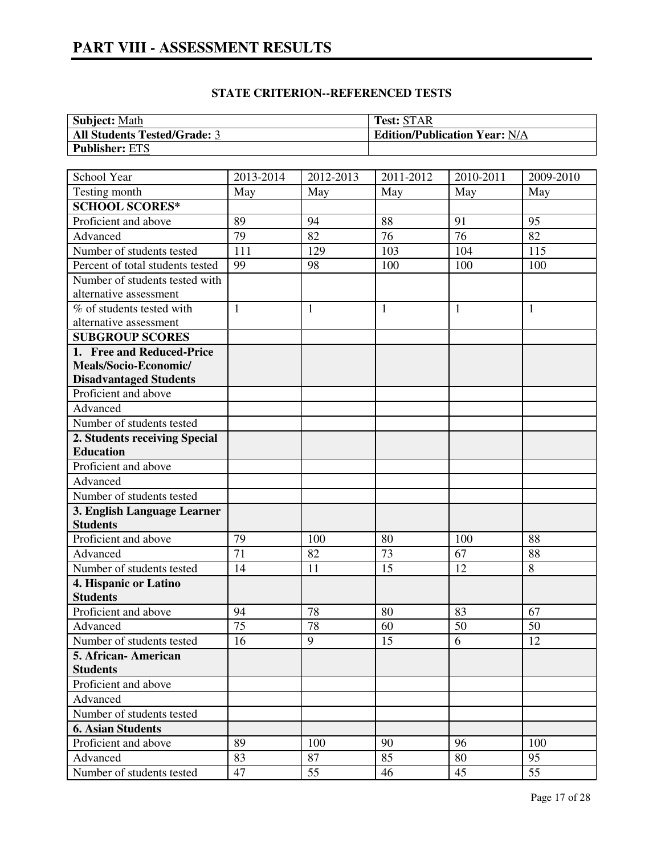# **PART VIII - ASSESSMENT RESULTS**

| <b>Subject:</b> Math                | <b>Test: STAR</b>                    |
|-------------------------------------|--------------------------------------|
| <b>All Students Tested/Grade: 3</b> | <b>Edition/Publication Year: N/A</b> |
| <b>Publisher: ETS</b>               |                                      |

| School Year                      | 2013-2014       | 2012-2013       | 2011-2012 | 2010-2011       | 2009-2010    |
|----------------------------------|-----------------|-----------------|-----------|-----------------|--------------|
| Testing month                    | May             | May             | May       | May             | May          |
| <b>SCHOOL SCORES*</b>            |                 |                 |           |                 |              |
| Proficient and above             | 89              | 94              | 88        | 91              | 95           |
| Advanced                         | 79              | $\overline{82}$ | 76        | $\overline{76}$ | 82           |
| Number of students tested        | 111             | 129             | 103       | 104             | 115          |
| Percent of total students tested | 99              | 98              | 100       | 100             | 100          |
| Number of students tested with   |                 |                 |           |                 |              |
| alternative assessment           |                 |                 |           |                 |              |
| % of students tested with        | $\mathbf{1}$    | $\mathbf{1}$    | 1         | 1               | $\mathbf{1}$ |
| alternative assessment           |                 |                 |           |                 |              |
| <b>SUBGROUP SCORES</b>           |                 |                 |           |                 |              |
| 1. Free and Reduced-Price        |                 |                 |           |                 |              |
| Meals/Socio-Economic/            |                 |                 |           |                 |              |
| <b>Disadvantaged Students</b>    |                 |                 |           |                 |              |
| Proficient and above             |                 |                 |           |                 |              |
| Advanced                         |                 |                 |           |                 |              |
| Number of students tested        |                 |                 |           |                 |              |
| 2. Students receiving Special    |                 |                 |           |                 |              |
| <b>Education</b>                 |                 |                 |           |                 |              |
| Proficient and above             |                 |                 |           |                 |              |
| Advanced                         |                 |                 |           |                 |              |
| Number of students tested        |                 |                 |           |                 |              |
| 3. English Language Learner      |                 |                 |           |                 |              |
| <b>Students</b>                  |                 |                 |           |                 |              |
| Proficient and above             | 79              | 100             | 80        | 100             | 88           |
| Advanced                         | 71              | 82              | 73        | 67              | 88           |
| Number of students tested        | 14              | 11              | 15        | 12              | 8            |
| 4. Hispanic or Latino            |                 |                 |           |                 |              |
| <b>Students</b>                  |                 |                 |           |                 |              |
| Proficient and above             | 94              | 78              | 80        | 83              | 67           |
| Advanced                         | $\overline{75}$ | $\overline{78}$ | 60        | 50              | 50           |
| Number of students tested        | 16              | 9               | 15        | 6               | 12           |
| 5. African- American             |                 |                 |           |                 |              |
| <b>Students</b>                  |                 |                 |           |                 |              |
| Proficient and above             |                 |                 |           |                 |              |
| Advanced                         |                 |                 |           |                 |              |
| Number of students tested        |                 |                 |           |                 |              |
| <b>6. Asian Students</b>         |                 |                 |           |                 |              |
| Proficient and above             | 89              | 100             | 90        | 96              | 100          |
| Advanced                         | 83              | 87              | 85        | 80              | 95           |
| Number of students tested        | 47              | 55              | 46        | 45              | 55           |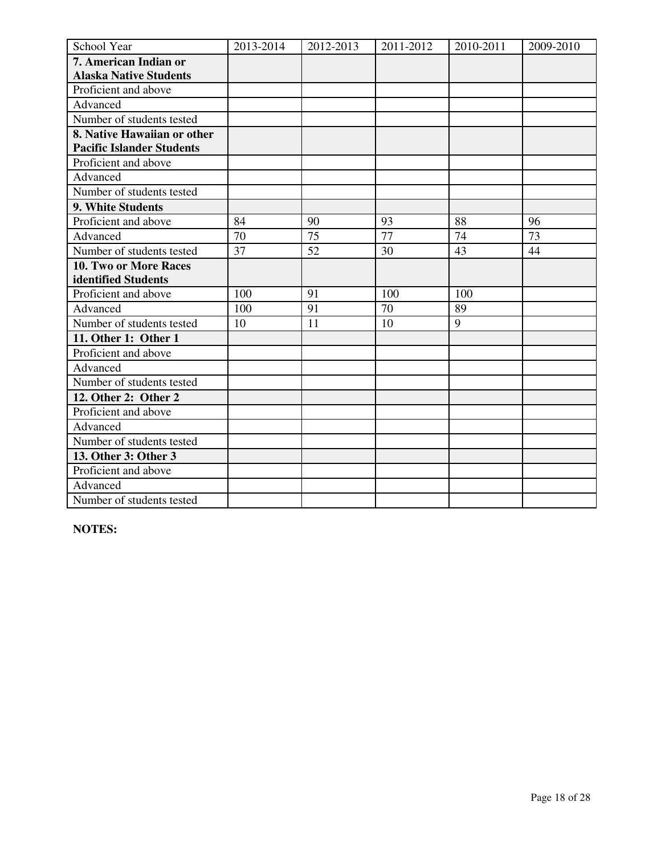| School Year                      | 2013-2014 | 2012-2013 | 2011-2012 | 2010-2011 | 2009-2010 |
|----------------------------------|-----------|-----------|-----------|-----------|-----------|
| 7. American Indian or            |           |           |           |           |           |
| <b>Alaska Native Students</b>    |           |           |           |           |           |
| Proficient and above             |           |           |           |           |           |
| Advanced                         |           |           |           |           |           |
| Number of students tested        |           |           |           |           |           |
| 8. Native Hawaiian or other      |           |           |           |           |           |
| <b>Pacific Islander Students</b> |           |           |           |           |           |
| Proficient and above             |           |           |           |           |           |
| Advanced                         |           |           |           |           |           |
| Number of students tested        |           |           |           |           |           |
| 9. White Students                |           |           |           |           |           |
| Proficient and above             | 84        | 90        | 93        | 88        | 96        |
| Advanced                         | 70        | 75        | 77        | 74        | 73        |
| Number of students tested        | 37        | 52        | 30        | 43        | 44        |
| <b>10. Two or More Races</b>     |           |           |           |           |           |
| identified Students              |           |           |           |           |           |
| Proficient and above             | 100       | 91        | 100       | 100       |           |
| Advanced                         | 100       | 91        | 70        | 89        |           |
| Number of students tested        | 10        | 11        | 10        | 9         |           |
| 11. Other 1: Other 1             |           |           |           |           |           |
| Proficient and above             |           |           |           |           |           |
| Advanced                         |           |           |           |           |           |
| Number of students tested        |           |           |           |           |           |
| 12. Other 2: Other 2             |           |           |           |           |           |
| Proficient and above             |           |           |           |           |           |
| Advanced                         |           |           |           |           |           |
| Number of students tested        |           |           |           |           |           |
| 13. Other 3: Other 3             |           |           |           |           |           |
| Proficient and above             |           |           |           |           |           |
| Advanced                         |           |           |           |           |           |
| Number of students tested        |           |           |           |           |           |

**NOTES:**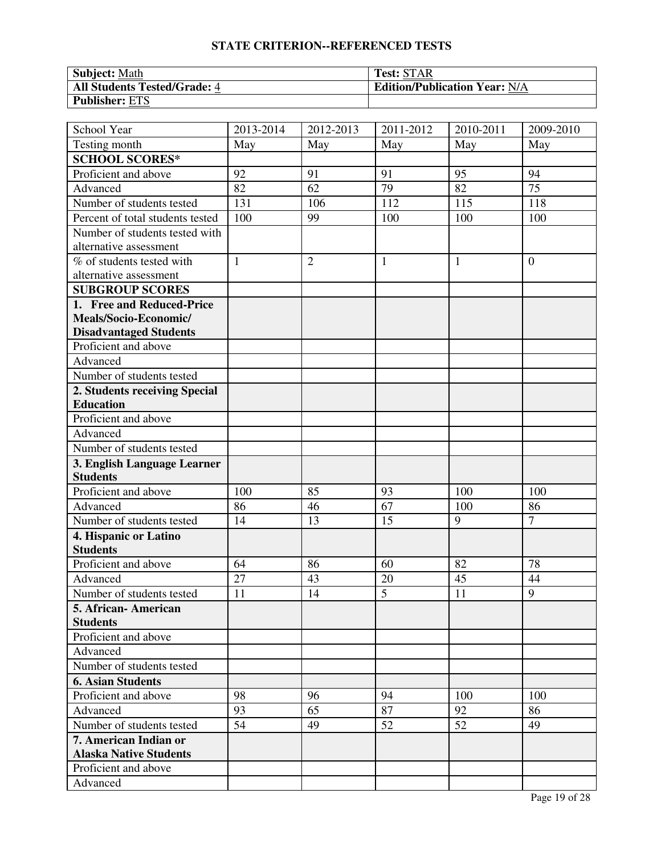| <b>Subject: Math</b>                | <b>Test: STAR</b>                    |
|-------------------------------------|--------------------------------------|
| <b>All Students Tested/Grade: 4</b> | <b>Edition/Publication Year: N/A</b> |
| <b>Publisher: ETS</b>               |                                      |

| School Year                              | 2013-2014    | 2012-2013      | 2011-2012      | 2010-2011 | 2009-2010      |
|------------------------------------------|--------------|----------------|----------------|-----------|----------------|
| Testing month                            | May          | May            | May            | May       | May            |
| <b>SCHOOL SCORES*</b>                    |              |                |                |           |                |
| Proficient and above                     | 92           | 91             | 91             | 95        | 94             |
| Advanced                                 | 82           | 62             | 79             | 82        | 75             |
| Number of students tested                | 131          | 106            | 112            | 115       | 118            |
| Percent of total students tested         | 100          | 99             | 100            | 100       | 100            |
| Number of students tested with           |              |                |                |           |                |
| alternative assessment                   |              |                |                |           |                |
| % of students tested with                | $\mathbf{1}$ | $\overline{2}$ | $\mathbf{1}$   | 1         | $\overline{0}$ |
| alternative assessment                   |              |                |                |           |                |
| <b>SUBGROUP SCORES</b>                   |              |                |                |           |                |
| 1. Free and Reduced-Price                |              |                |                |           |                |
| Meals/Socio-Economic/                    |              |                |                |           |                |
| <b>Disadvantaged Students</b>            |              |                |                |           |                |
| Proficient and above                     |              |                |                |           |                |
| Advanced                                 |              |                |                |           |                |
| Number of students tested                |              |                |                |           |                |
| 2. Students receiving Special            |              |                |                |           |                |
| <b>Education</b>                         |              |                |                |           |                |
| Proficient and above                     |              |                |                |           |                |
| Advanced                                 |              |                |                |           |                |
| Number of students tested                |              |                |                |           |                |
| 3. English Language Learner              |              |                |                |           |                |
| <b>Students</b>                          |              |                |                |           |                |
| Proficient and above                     | 100          | 85             | 93             | 100       | 100            |
| Advanced                                 | 86           | 46             | 67             | 100       | 86             |
| Number of students tested                | 14           | 13             | 15             | 9         | $\overline{7}$ |
| 4. Hispanic or Latino<br><b>Students</b> |              |                |                |           |                |
| Proficient and above                     | 64           | 86             | 60             | 82        | 78             |
| Advanced                                 | 27           | 43             | 20             | 45        | 44             |
| Number of students tested                | 11           | 14             | $\overline{5}$ | 11        | 9              |
| 5. African-American                      |              |                |                |           |                |
| <b>Students</b>                          |              |                |                |           |                |
| Proficient and above                     |              |                |                |           |                |
| Advanced                                 |              |                |                |           |                |
| Number of students tested                |              |                |                |           |                |
| <b>6. Asian Students</b>                 |              |                |                |           |                |
| Proficient and above                     | 98           | 96             | 94             | 100       | 100            |
| Advanced                                 | 93           | 65             | 87             | 92        | 86             |
| Number of students tested                | 54           | 49             | 52             | 52        | 49             |
| 7. American Indian or                    |              |                |                |           |                |
| <b>Alaska Native Students</b>            |              |                |                |           |                |
| Proficient and above                     |              |                |                |           |                |
| Advanced                                 |              |                |                |           |                |
|                                          |              |                |                |           |                |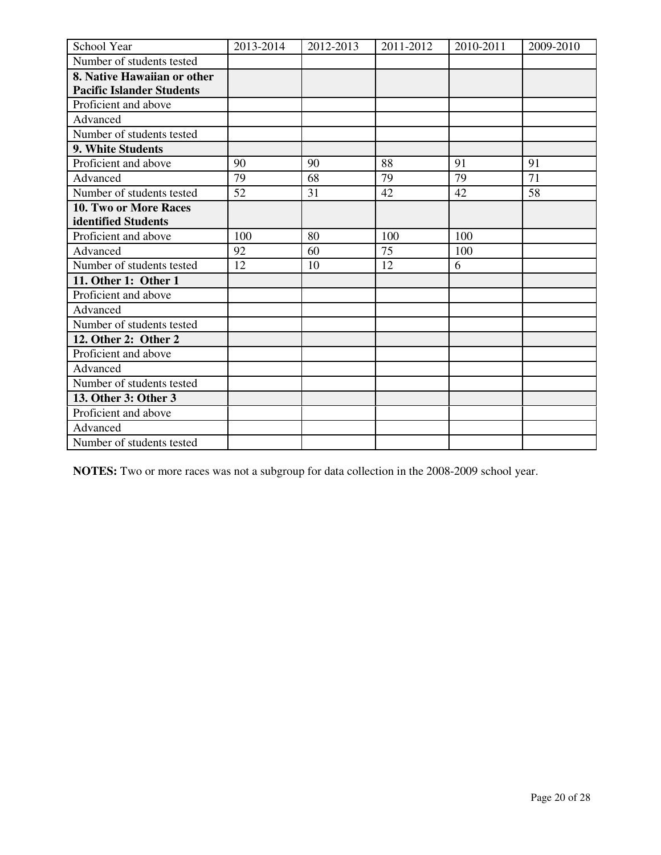| School Year                      | 2013-2014 | 2012-2013 | 2011-2012 | 2010-2011 | 2009-2010 |
|----------------------------------|-----------|-----------|-----------|-----------|-----------|
| Number of students tested        |           |           |           |           |           |
| 8. Native Hawaiian or other      |           |           |           |           |           |
| <b>Pacific Islander Students</b> |           |           |           |           |           |
| Proficient and above             |           |           |           |           |           |
| Advanced                         |           |           |           |           |           |
| Number of students tested        |           |           |           |           |           |
| 9. White Students                |           |           |           |           |           |
| Proficient and above             | 90        | 90        | 88        | 91        | 91        |
| Advanced                         | 79        | 68        | 79        | 79        | 71        |
| Number of students tested        | 52        | 31        | 42        | 42        | 58        |
| <b>10. Two or More Races</b>     |           |           |           |           |           |
| identified Students              |           |           |           |           |           |
| Proficient and above             | 100       | 80        | 100       | 100       |           |
| Advanced                         | 92        | 60        | 75        | 100       |           |
| Number of students tested        | 12        | 10        | 12        | 6         |           |
| 11. Other 1: Other 1             |           |           |           |           |           |
| Proficient and above             |           |           |           |           |           |
| Advanced                         |           |           |           |           |           |
| Number of students tested        |           |           |           |           |           |
| 12. Other 2: Other 2             |           |           |           |           |           |
| Proficient and above             |           |           |           |           |           |
| Advanced                         |           |           |           |           |           |
| Number of students tested        |           |           |           |           |           |
| 13. Other 3: Other 3             |           |           |           |           |           |
| Proficient and above             |           |           |           |           |           |
| Advanced                         |           |           |           |           |           |
| Number of students tested        |           |           |           |           |           |

**NOTES:** Two or more races was not a subgroup for data collection in the 2008-2009 school year.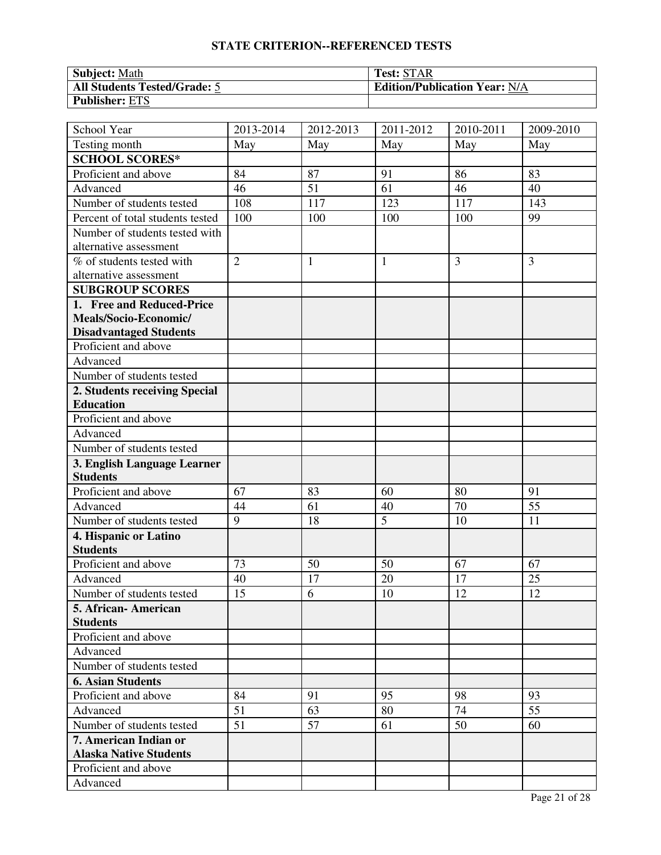| <b>Subject: Math</b>                | <b>Test: STAR</b>                    |
|-------------------------------------|--------------------------------------|
| <b>All Students Tested/Grade: 5</b> | <b>Edition/Publication Year: N/A</b> |
| <b>Publisher: ETS</b>               |                                      |

| School Year                      | 2013-2014      | 2012-2013    | 2011-2012    | 2010-2011      | 2009-2010      |
|----------------------------------|----------------|--------------|--------------|----------------|----------------|
| Testing month                    | May            | May          | May          | May            | May            |
| <b>SCHOOL SCORES*</b>            |                |              |              |                |                |
| Proficient and above             | 84             | 87           | 91           | 86             | 83             |
| Advanced                         | 46             | 51           | 61           | 46             | 40             |
| Number of students tested        | 108            | 117          | 123          | 117            | 143            |
| Percent of total students tested | 100            | 100          | 100          | 100            | 99             |
| Number of students tested with   |                |              |              |                |                |
| alternative assessment           |                |              |              |                |                |
| % of students tested with        | $\overline{2}$ | $\mathbf{1}$ | $\mathbf{1}$ | $\overline{3}$ | $\overline{3}$ |
| alternative assessment           |                |              |              |                |                |
| <b>SUBGROUP SCORES</b>           |                |              |              |                |                |
| 1. Free and Reduced-Price        |                |              |              |                |                |
| Meals/Socio-Economic/            |                |              |              |                |                |
| <b>Disadvantaged Students</b>    |                |              |              |                |                |
| Proficient and above             |                |              |              |                |                |
| Advanced                         |                |              |              |                |                |
| Number of students tested        |                |              |              |                |                |
| 2. Students receiving Special    |                |              |              |                |                |
| <b>Education</b>                 |                |              |              |                |                |
| Proficient and above             |                |              |              |                |                |
| Advanced                         |                |              |              |                |                |
| Number of students tested        |                |              |              |                |                |
| 3. English Language Learner      |                |              |              |                |                |
| <b>Students</b>                  |                |              |              |                |                |
| Proficient and above             | 67             | 83           | 60           | 80             | 91             |
| Advanced                         | 44             | 61           | 40           | 70             | 55             |
| Number of students tested        | 9              | 18           | 5            | 10             | 11             |
| 4. Hispanic or Latino            |                |              |              |                |                |
| <b>Students</b>                  |                |              |              |                |                |
| Proficient and above             | 73             | 50           | 50           | 67             | 67             |
| Advanced                         | 40             | 17           | 20           | 17             | 25             |
| Number of students tested        | 15             | 6            | 10           | 12             | 12             |
| 5. African- American             |                |              |              |                |                |
| <b>Students</b>                  |                |              |              |                |                |
| Proficient and above             |                |              |              |                |                |
| Advanced                         |                |              |              |                |                |
| Number of students tested        |                |              |              |                |                |
| <b>6. Asian Students</b>         |                |              |              |                |                |
| Proficient and above             | 84             | 91           | 95           | 98             | 93             |
| Advanced                         | 51             | 63           | 80           | 74             | 55             |
| Number of students tested        | 51             | 57           | 61           | 50             | 60             |
| 7. American Indian or            |                |              |              |                |                |
| <b>Alaska Native Students</b>    |                |              |              |                |                |
| Proficient and above             |                |              |              |                |                |
| Advanced                         |                |              |              |                |                |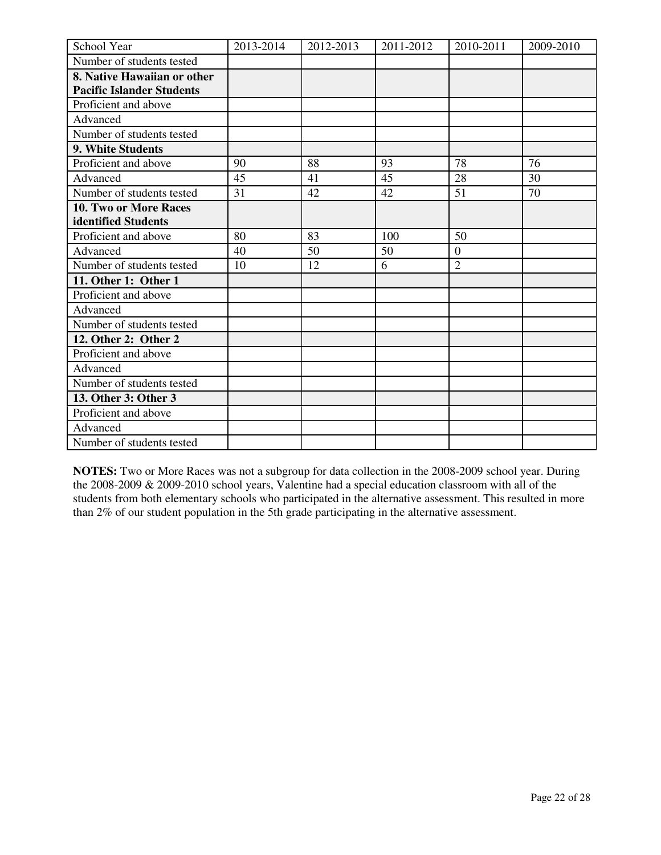| School Year                      | 2013-2014 | 2012-2013 | 2011-2012 | 2010-2011      | 2009-2010 |
|----------------------------------|-----------|-----------|-----------|----------------|-----------|
| Number of students tested        |           |           |           |                |           |
| 8. Native Hawaiian or other      |           |           |           |                |           |
| <b>Pacific Islander Students</b> |           |           |           |                |           |
| Proficient and above             |           |           |           |                |           |
| Advanced                         |           |           |           |                |           |
| Number of students tested        |           |           |           |                |           |
| <b>9. White Students</b>         |           |           |           |                |           |
| Proficient and above             | 90        | 88        | 93        | 78             | 76        |
| Advanced                         | 45        | 41        | 45        | 28             | 30        |
| Number of students tested        | 31        | 42        | 42        | 51             | 70        |
| 10. Two or More Races            |           |           |           |                |           |
| identified Students              |           |           |           |                |           |
| Proficient and above             | 80        | 83        | 100       | 50             |           |
| Advanced                         | 40        | 50        | 50        | $\overline{0}$ |           |
| Number of students tested        | 10        | 12        | 6         | $\overline{2}$ |           |
| 11. Other 1: Other 1             |           |           |           |                |           |
| Proficient and above             |           |           |           |                |           |
| Advanced                         |           |           |           |                |           |
| Number of students tested        |           |           |           |                |           |
| 12. Other 2: Other 2             |           |           |           |                |           |
| Proficient and above             |           |           |           |                |           |
| Advanced                         |           |           |           |                |           |
| Number of students tested        |           |           |           |                |           |
| 13. Other 3: Other 3             |           |           |           |                |           |
| Proficient and above             |           |           |           |                |           |
| Advanced                         |           |           |           |                |           |
| Number of students tested        |           |           |           |                |           |

**NOTES:** Two or More Races was not a subgroup for data collection in the 2008-2009 school year. During the 2008-2009 & 2009-2010 school years, Valentine had a special education classroom with all of the students from both elementary schools who participated in the alternative assessment. This resulted in more than 2% of our student population in the 5th grade participating in the alternative assessment.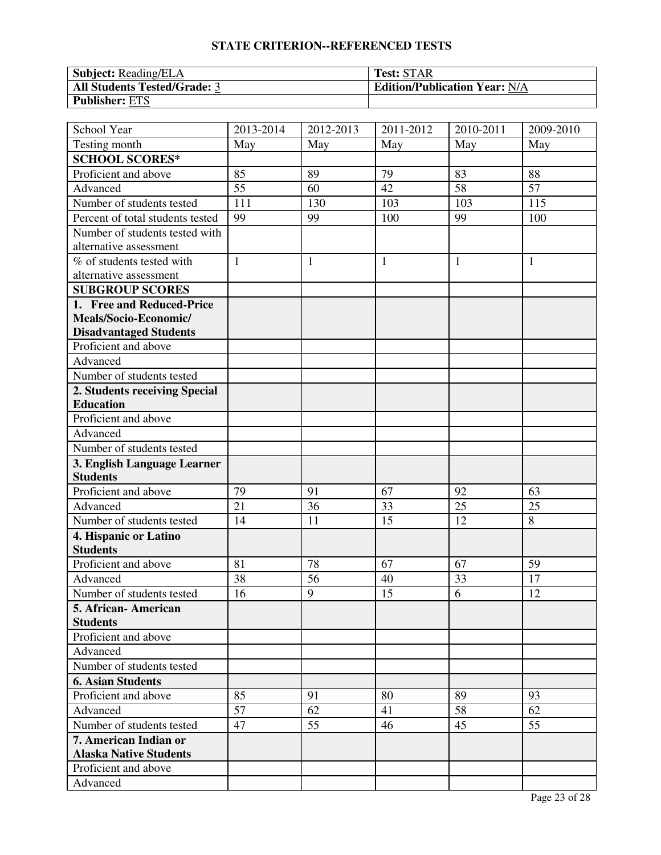| <b>Subject:</b> Reading/ELA         | <b>Test: STAR</b>                    |
|-------------------------------------|--------------------------------------|
| <b>All Students Tested/Grade: 3</b> | <b>Edition/Publication Year: N/A</b> |
| <b>Publisher: ETS</b>               |                                      |

| School Year                                            | 2013-2014    | 2012-2013    | $\overline{20}11 - 2012$ | 2010-2011 | 2009-2010 |
|--------------------------------------------------------|--------------|--------------|--------------------------|-----------|-----------|
| Testing month                                          | May          | May          | May                      | May       | May       |
| <b>SCHOOL SCORES*</b>                                  |              |              |                          |           |           |
| Proficient and above                                   | 85           | 89           | 79                       | 83        | 88        |
| Advanced                                               | 55           | 60           | 42                       | 58        | 57        |
| Number of students tested                              | 111          | 130          | 103                      | 103       | 115       |
| Percent of total students tested                       | 99           | 99           | 100                      | 99        | 100       |
| Number of students tested with                         |              |              |                          |           |           |
| alternative assessment                                 |              |              |                          |           |           |
| % of students tested with                              | $\mathbf{1}$ | $\mathbf{1}$ | $\mathbf{1}$             | 1         | 1         |
| alternative assessment                                 |              |              |                          |           |           |
| <b>SUBGROUP SCORES</b>                                 |              |              |                          |           |           |
| 1. Free and Reduced-Price                              |              |              |                          |           |           |
| Meals/Socio-Economic/                                  |              |              |                          |           |           |
| <b>Disadvantaged Students</b>                          |              |              |                          |           |           |
| Proficient and above                                   |              |              |                          |           |           |
| Advanced                                               |              |              |                          |           |           |
| Number of students tested                              |              |              |                          |           |           |
| 2. Students receiving Special                          |              |              |                          |           |           |
| <b>Education</b>                                       |              |              |                          |           |           |
| Proficient and above                                   |              |              |                          |           |           |
| Advanced                                               |              |              |                          |           |           |
| Number of students tested                              |              |              |                          |           |           |
| 3. English Language Learner                            |              |              |                          |           |           |
| <b>Students</b>                                        |              |              |                          |           |           |
| Proficient and above                                   | 79           | 91           | 67                       | 92        | 63        |
| Advanced                                               | 21           | 36           | 33                       | 25        | 25        |
| Number of students tested                              | 14           | 11           | 15                       | 12        | 8         |
| 4. Hispanic or Latino                                  |              |              |                          |           |           |
| <b>Students</b>                                        |              |              |                          |           |           |
| Proficient and above                                   | 81           | 78           | 67                       | 67        | 59        |
| Advanced                                               | 38           | 56           | 40                       | 33        | 17        |
| Number of students tested                              | 16           | 9            | 15                       | 6         | 12        |
| 5. African - American                                  |              |              |                          |           |           |
| <b>Students</b>                                        |              |              |                          |           |           |
| Proficient and above                                   |              |              |                          |           |           |
| Advanced                                               |              |              |                          |           |           |
| Number of students tested                              |              |              |                          |           |           |
| <b>6. Asian Students</b>                               |              |              |                          |           |           |
| Proficient and above                                   | 85<br>57     | 91<br>62     | 80<br>41                 | 89<br>58  | 93<br>62  |
| Advanced                                               |              |              |                          |           |           |
| Number of students tested                              | 47           | 55           | 46                       | 45        | 55        |
| 7. American Indian or<br><b>Alaska Native Students</b> |              |              |                          |           |           |
| Proficient and above                                   |              |              |                          |           |           |
| Advanced                                               |              |              |                          |           |           |
|                                                        |              |              |                          |           |           |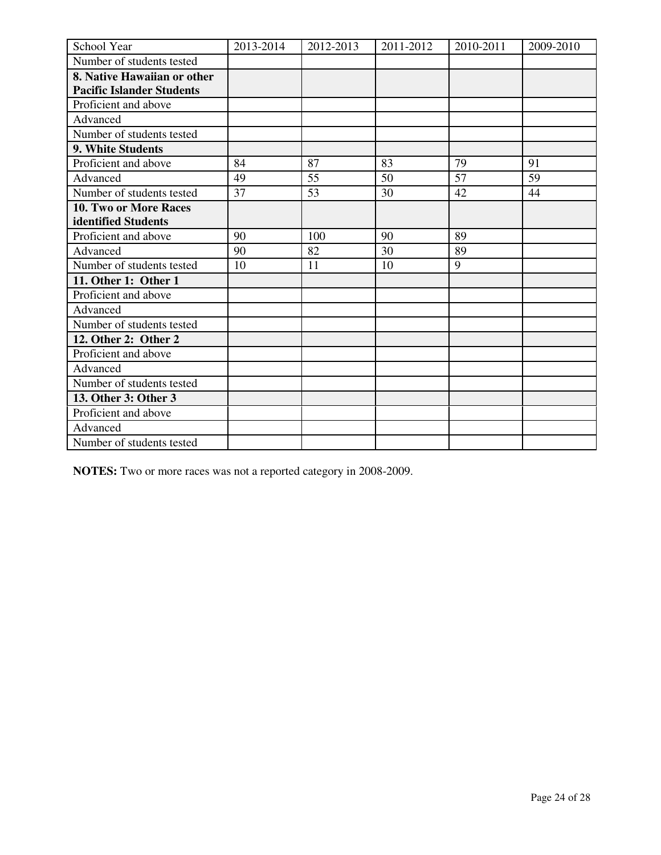| School Year                      | 2013-2014 | 2012-2013 | 2011-2012 | 2010-2011 | 2009-2010 |
|----------------------------------|-----------|-----------|-----------|-----------|-----------|
| Number of students tested        |           |           |           |           |           |
| 8. Native Hawaiian or other      |           |           |           |           |           |
| <b>Pacific Islander Students</b> |           |           |           |           |           |
| Proficient and above             |           |           |           |           |           |
| Advanced                         |           |           |           |           |           |
| Number of students tested        |           |           |           |           |           |
| 9. White Students                |           |           |           |           |           |
| Proficient and above             | 84        | 87        | 83        | 79        | 91        |
| Advanced                         | 49        | 55        | 50        | 57        | 59        |
| Number of students tested        | 37        | 53        | 30        | 42        | 44        |
| <b>10. Two or More Races</b>     |           |           |           |           |           |
| identified Students              |           |           |           |           |           |
| Proficient and above             | 90        | 100       | 90        | 89        |           |
| Advanced                         | 90        | 82        | 30        | 89        |           |
| Number of students tested        | 10        | 11        | 10        | 9         |           |
| 11. Other 1: Other 1             |           |           |           |           |           |
| Proficient and above             |           |           |           |           |           |
| Advanced                         |           |           |           |           |           |
| Number of students tested        |           |           |           |           |           |
| 12. Other 2: Other 2             |           |           |           |           |           |
| Proficient and above             |           |           |           |           |           |
| Advanced                         |           |           |           |           |           |
| Number of students tested        |           |           |           |           |           |
| 13. Other 3: Other 3             |           |           |           |           |           |
| Proficient and above             |           |           |           |           |           |
| Advanced                         |           |           |           |           |           |
| Number of students tested        |           |           |           |           |           |

**NOTES:** Two or more races was not a reported category in 2008-2009.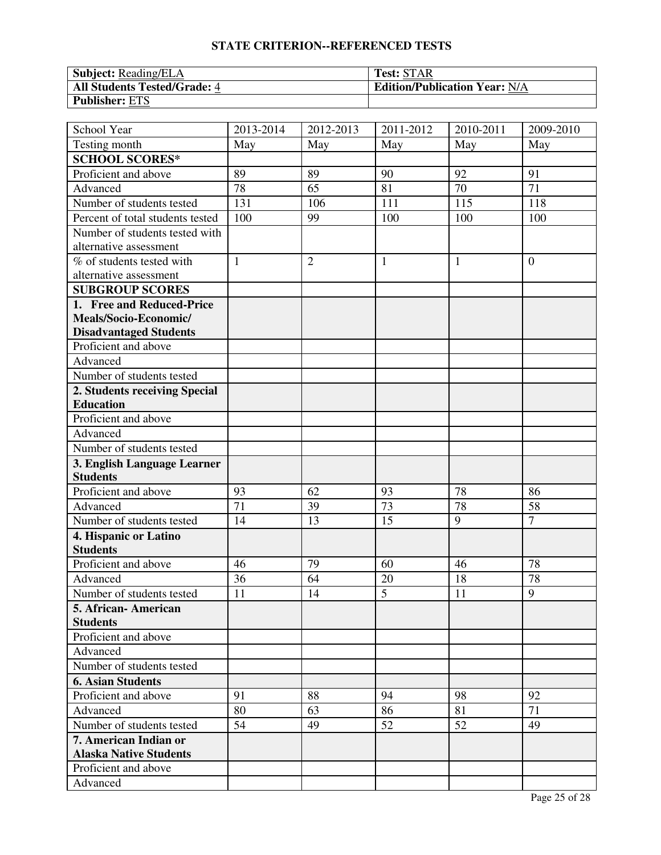| <b>Subject:</b> Reading/ELA  | <b>Test: STAR</b>                    |
|------------------------------|--------------------------------------|
| All Students Tested/Grade: 4 | <b>Edition/Publication Year: N/A</b> |
| <b>Publisher: ETS</b>        |                                      |

| School Year                      | 2013-2014    | $\overline{20}$ 12-2013 | $\overline{20}11 - 2012$ | 2010-2011 | 2009-2010      |
|----------------------------------|--------------|-------------------------|--------------------------|-----------|----------------|
| Testing month                    | May          | May                     | May                      | May       | May            |
| <b>SCHOOL SCORES*</b>            |              |                         |                          |           |                |
| Proficient and above             | 89           | 89                      | 90                       | 92        | 91             |
| Advanced                         | 78           | 65                      | 81                       | 70        | 71             |
| Number of students tested        | 131          | 106                     | 111                      | 115       | 118            |
| Percent of total students tested | 100          | 99                      | 100                      | 100       | 100            |
| Number of students tested with   |              |                         |                          |           |                |
| alternative assessment           |              |                         |                          |           |                |
| % of students tested with        | $\mathbf{1}$ | $\overline{2}$          | $\mathbf{1}$             | 1         | $\overline{0}$ |
| alternative assessment           |              |                         |                          |           |                |
| <b>SUBGROUP SCORES</b>           |              |                         |                          |           |                |
| 1. Free and Reduced-Price        |              |                         |                          |           |                |
| Meals/Socio-Economic/            |              |                         |                          |           |                |
| <b>Disadvantaged Students</b>    |              |                         |                          |           |                |
| Proficient and above             |              |                         |                          |           |                |
| Advanced                         |              |                         |                          |           |                |
| Number of students tested        |              |                         |                          |           |                |
| 2. Students receiving Special    |              |                         |                          |           |                |
| <b>Education</b>                 |              |                         |                          |           |                |
| Proficient and above             |              |                         |                          |           |                |
| Advanced                         |              |                         |                          |           |                |
| Number of students tested        |              |                         |                          |           |                |
| 3. English Language Learner      |              |                         |                          |           |                |
| <b>Students</b>                  |              |                         |                          |           |                |
| Proficient and above             | 93           | 62                      | 93                       | 78        | 86             |
| Advanced                         | 71           | 39                      | 73                       | 78        | 58             |
| Number of students tested        | 14           | 13                      | 15                       | 9         | $\overline{7}$ |
| 4. Hispanic or Latino            |              |                         |                          |           |                |
| <b>Students</b>                  |              |                         |                          |           |                |
| Proficient and above             | 46           | 79                      | 60                       | 46        | 78             |
| Advanced                         | 36           | 64                      | 20                       | 18        | 78             |
| Number of students tested        | 11           | 14                      | $\overline{5}$           | 11        | 9              |
| 5. African - American            |              |                         |                          |           |                |
| <b>Students</b>                  |              |                         |                          |           |                |
| Proficient and above             |              |                         |                          |           |                |
| Advanced                         |              |                         |                          |           |                |
| Number of students tested        |              |                         |                          |           |                |
| <b>6. Asian Students</b>         |              |                         |                          |           |                |
| Proficient and above             | 91           | 88                      | 94                       | 98        | 92             |
| Advanced                         | 80           | 63                      | 86                       | 81        | 71             |
| Number of students tested        | 54           | 49                      | 52                       | 52        | 49             |
| 7. American Indian or            |              |                         |                          |           |                |
| <b>Alaska Native Students</b>    |              |                         |                          |           |                |
| Proficient and above             |              |                         |                          |           |                |
| Advanced                         |              |                         |                          |           |                |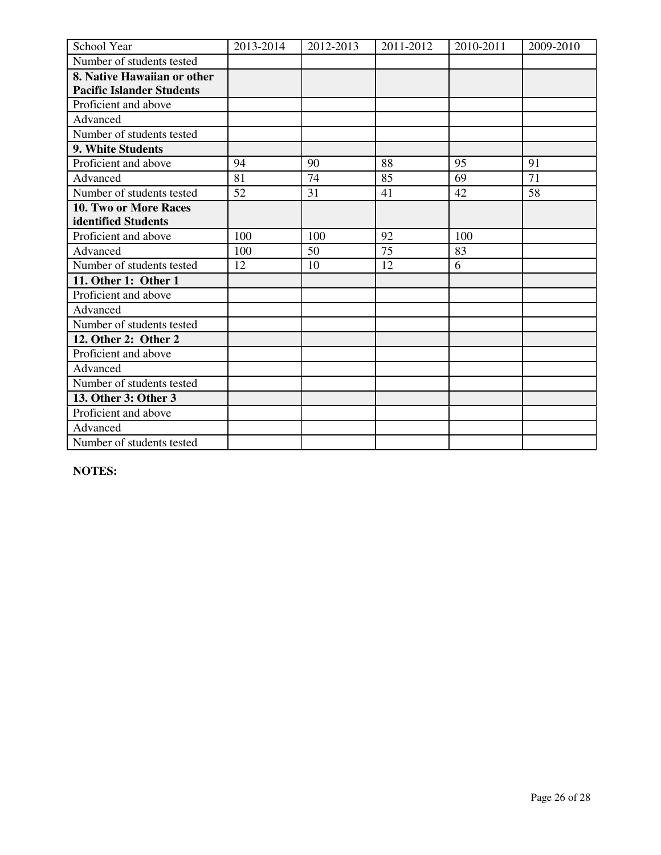| School Year                      | 2013-2014 | 2012-2013 | 2011-2012 | 2010-2011 | 2009-2010 |
|----------------------------------|-----------|-----------|-----------|-----------|-----------|
| Number of students tested        |           |           |           |           |           |
| 8. Native Hawaiian or other      |           |           |           |           |           |
| <b>Pacific Islander Students</b> |           |           |           |           |           |
| Proficient and above             |           |           |           |           |           |
| Advanced                         |           |           |           |           |           |
| Number of students tested        |           |           |           |           |           |
| 9. White Students                |           |           |           |           |           |
| Proficient and above             | 94        | 90        | 88        | 95        | 91        |
| Advanced                         | 81        | 74        | 85        | 69        | 71        |
| Number of students tested        | 52        | 31        | 41        | 42        | 58        |
| 10. Two or More Races            |           |           |           |           |           |
| identified Students              |           |           |           |           |           |
| Proficient and above             | 100       | 100       | 92        | 100       |           |
| Advanced                         | 100       | 50        | 75        | 83        |           |
| Number of students tested        | 12        | 10        | 12        | 6         |           |
| 11. Other 1: Other 1             |           |           |           |           |           |
| Proficient and above             |           |           |           |           |           |
| Advanced                         |           |           |           |           |           |
| Number of students tested        |           |           |           |           |           |
| 12. Other 2: Other 2             |           |           |           |           |           |
| Proficient and above             |           |           |           |           |           |
| Advanced                         |           |           |           |           |           |
| Number of students tested        |           |           |           |           |           |
| 13. Other 3: Other 3             |           |           |           |           |           |
| Proficient and above             |           |           |           |           |           |
| Advanced                         |           |           |           |           |           |
| Number of students tested        |           |           |           |           |           |

**NOTES:**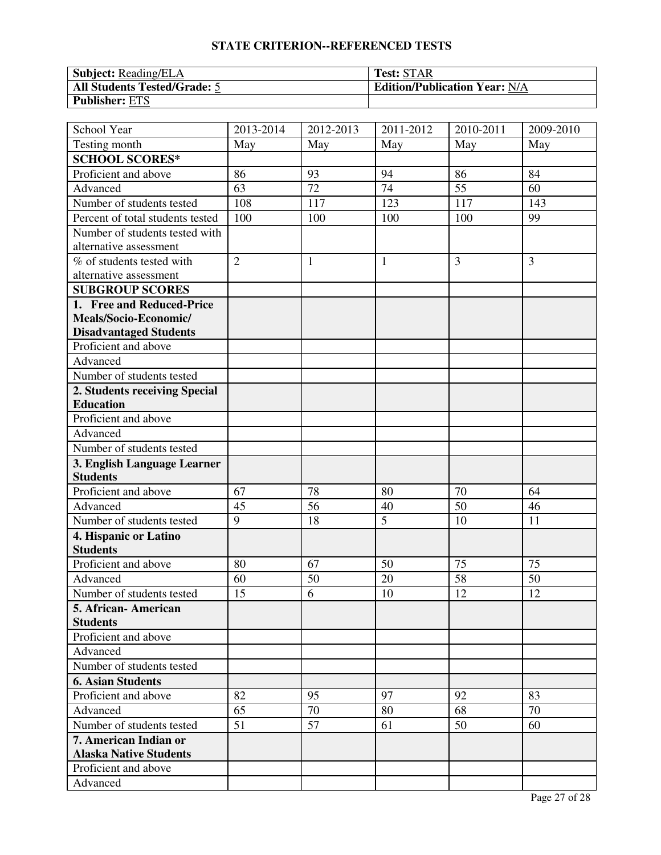| <b>Subject: Reading/ELA</b>         | <b>Test: STAR</b>                    |
|-------------------------------------|--------------------------------------|
| <b>All Students Tested/Grade: 5</b> | <b>Edition/Publication Year: N/A</b> |
| <b>Publisher: ETS</b>               |                                      |

| School Year                      | 2013-2014      | $\overline{20}$ 12-2013 | $\overline{20}11 - 2012$ | 2010-2011 | 2009-2010 |
|----------------------------------|----------------|-------------------------|--------------------------|-----------|-----------|
| Testing month                    | May            | May                     | May                      | May       | May       |
| <b>SCHOOL SCORES*</b>            |                |                         |                          |           |           |
| Proficient and above             | 86             | 93                      | 94                       | 86        | 84        |
| Advanced                         | 63             | 72                      | 74                       | 55        | 60        |
| Number of students tested        | 108            | 117                     | 123                      | 117       | 143       |
| Percent of total students tested | 100            | 100                     | 100                      | 100       | 99        |
| Number of students tested with   |                |                         |                          |           |           |
| alternative assessment           |                |                         |                          |           |           |
| % of students tested with        | $\overline{2}$ | $\mathbf{1}$            | $\mathbf{1}$             | 3         | 3         |
| alternative assessment           |                |                         |                          |           |           |
| <b>SUBGROUP SCORES</b>           |                |                         |                          |           |           |
| 1. Free and Reduced-Price        |                |                         |                          |           |           |
| Meals/Socio-Economic/            |                |                         |                          |           |           |
| <b>Disadvantaged Students</b>    |                |                         |                          |           |           |
| Proficient and above             |                |                         |                          |           |           |
| Advanced                         |                |                         |                          |           |           |
| Number of students tested        |                |                         |                          |           |           |
| 2. Students receiving Special    |                |                         |                          |           |           |
| <b>Education</b>                 |                |                         |                          |           |           |
| Proficient and above             |                |                         |                          |           |           |
| Advanced                         |                |                         |                          |           |           |
| Number of students tested        |                |                         |                          |           |           |
| 3. English Language Learner      |                |                         |                          |           |           |
| <b>Students</b>                  |                |                         |                          |           |           |
| Proficient and above             | 67             | 78                      | 80                       | 70        | 64        |
| Advanced                         | 45             | 56                      | 40                       | 50        | 46        |
| Number of students tested        | 9              | 18                      | $\overline{5}$           | 10        | 11        |
| 4. Hispanic or Latino            |                |                         |                          |           |           |
| <b>Students</b>                  |                |                         |                          |           |           |
| Proficient and above             | 80             | 67                      | 50                       | 75        | 75        |
| Advanced                         | 60             | 50                      | 20                       | 58        | 50        |
| Number of students tested        | 15             | $\overline{6}$          | 10                       | 12        | 12        |
| 5. African - American            |                |                         |                          |           |           |
| <b>Students</b>                  |                |                         |                          |           |           |
| Proficient and above             |                |                         |                          |           |           |
| Advanced                         |                |                         |                          |           |           |
| Number of students tested        |                |                         |                          |           |           |
| <b>6. Asian Students</b>         |                |                         |                          |           |           |
| Proficient and above             | 82             | 95                      | 97                       | 92        | 83        |
| Advanced                         | 65             | 70                      | 80                       | 68        | 70        |
| Number of students tested        | 51             | 57                      | 61                       | 50        | 60        |
| 7. American Indian or            |                |                         |                          |           |           |
| <b>Alaska Native Students</b>    |                |                         |                          |           |           |
| Proficient and above             |                |                         |                          |           |           |
| Advanced                         |                |                         |                          |           |           |